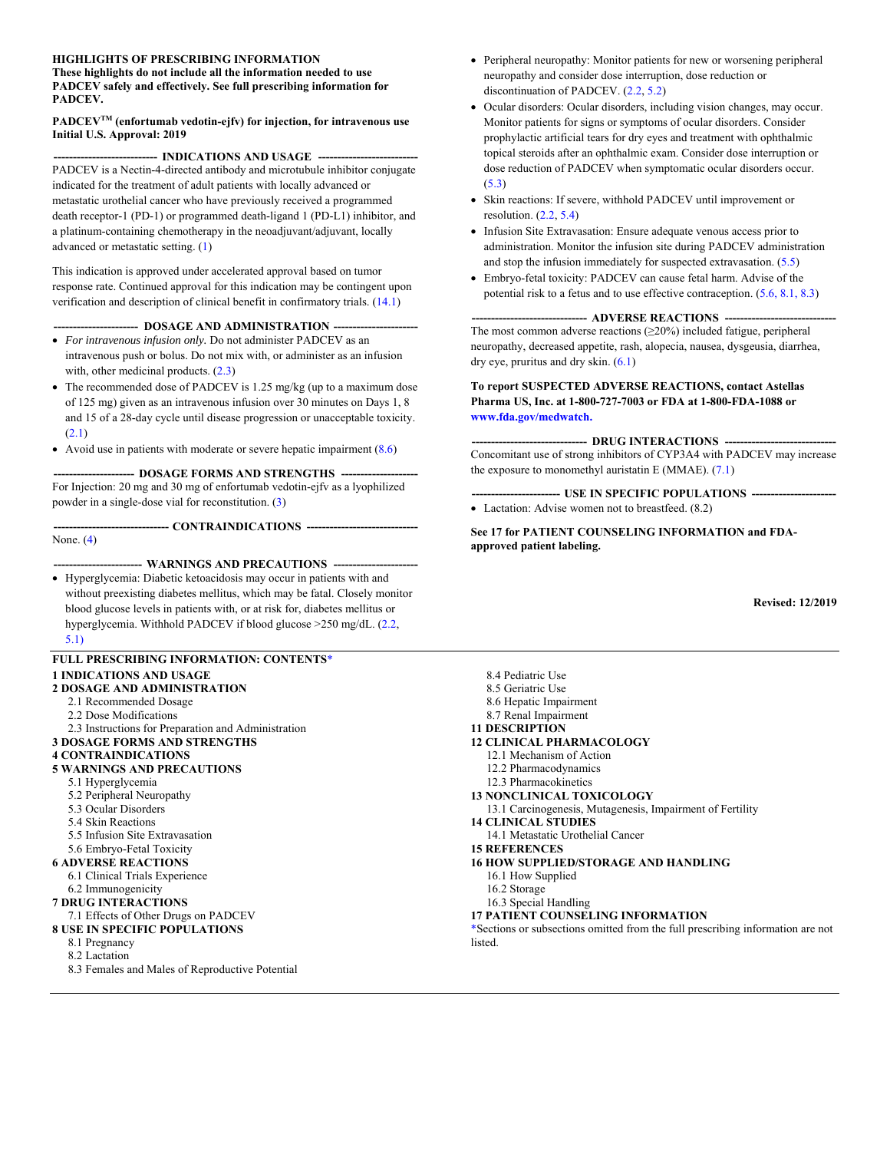#### **HIGHLIGHTS OF PRESCRIBING INFORMATION**

**These highlights do not include all the information needed to use PADCEV safely and effectively. See full prescribing information for PADCEV.** 

#### **PADCEVTM (enfortumab vedotin-ejfv) for injection, for intravenous use Initial U.S. Approval: 2019**

--- INDICATIONS AND USAGE ---PADCEV is a Nectin-4-directed antibody and microtubule inhibitor conjugate indicated for the treatment of adult patients with locally advanced or metastatic urothelial cancer who have previously received a programmed death receptor-1 (PD-1) or programmed death-ligand 1 (PD-L1) inhibitor, and a platinum-containing chemotherapy in the neoadjuvant/adjuvant, locally advanced or metastatic setting. (1)

This indication is approved under accelerated approval based on tumor response rate. Continued approval for this indication may be contingent upon verification and description of clinical benefit in confirmatory trials. (14.1)

#### -- DOSAGE AND ADMINISTRATION ---

- *For intravenous infusion only.* Do not administer PADCEV as an intravenous push or bolus. Do not mix with, or administer as an infusion with, other medicinal products.  $(2.3)$
- The recommended dose of PADCEV is 1.25 mg/kg (up to a maximum dose of 125 mg) given as an intravenous infusion over 30 minutes on Days 1, 8 and 15 of a 28-day cycle until disease progression or unacceptable toxicity. (2.1)
- Avoid use in patients with moderate or severe hepatic impairment  $(8.6)$

 **--------------------- DOSAGE FORMS AND STRENGTHS --------------------**  For Injection: 20 mg and 30 mg of enfortumab vedotin-ejfv as a lyophilized powder in a single-dose vial for reconstitution. (3)

None. (4)

#### **----------------------- WARNINGS AND PRECAUTIONS ----------------------**

 **------------------------------ CONTRAINDICATIONS -----------------------------** 

 Hyperglycemia: Diabetic ketoacidosis may occur in patients with and without preexisting diabetes mellitus, which may be fatal. Closely monitor blood glucose levels in patients with, or at risk for, diabetes mellitus or hyperglycemia. Withhold PADCEV if blood glucose >250 mg/dL. (2.2, 5.1)

#### **FULL PRESCRIBING INFORMATION: CONTENTS**\* **1 INDICATIONS AND USAGE 2 DOSAGE AND ADMINISTRATION** 2.1 Recommended Dosage 2.2 Dose Modifications 2.3 Instructions for Preparation and Administration

**3 DOSAGE FORMS AND STRENGTHS**

#### **4 CONTRAINDICATIONS**

#### **5 WARNINGS AND PRECAUTIONS**

- 5.1 Hyperglycemia
- 5.2 Peripheral Neuropathy
- 5.3 Ocular Disorders
- 5.4 Skin Reactions
- 5.5 Infusion Site Extravasation
- 5.6 Embryo-Fetal Toxicity
- **6 ADVERSE REACTIONS**
- 6.1 Clinical Trials Experience
- 6.2 Immunogenicity

#### **7 DRUG INTERACTIONS**

- 7.1 Effects of Other Drugs on PADCEV
- **8 USE IN SPECIFIC POPULATIONS**
	- 8.1 Pregnancy
	- 8.2 Lactation

8.3 Females and Males of Reproductive Potential

- Peripheral neuropathy: Monitor patients for new or worsening peripheral neuropathy and consider dose interruption, dose reduction or discontinuation of PADCEV. (2.2, 5.2)
- Ocular disorders: Ocular disorders, including vision changes, may occur. Monitor patients for signs or symptoms of ocular disorders. Consider prophylactic artificial tears for dry eyes and treatment with ophthalmic topical steroids after an ophthalmic exam. Consider dose interruption or dose reduction of PADCEV when symptomatic ocular disorders occur. (5.3)
- Skin reactions: If severe, withhold PADCEV until improvement or resolution. (2.2, 5.4)
- Infusion Site Extravasation: Ensure adequate venous access prior to administration. Monitor the infusion site during PADCEV administration and stop the infusion immediately for suspected extravasation. (5.5)
- Embryo-fetal toxicity: PADCEV can cause fetal harm. Advise of the potential risk to a fetus and to use effective contraception. (5.6, 8.1, 8.3)

#### --- ADVERSE REACTIONS --

The most common adverse reactions  $(\geq 20\%)$  included fatigue, peripheral neuropathy, decreased appetite, rash, alopecia, nausea, dysgeusia, diarrhea, dry eye, pruritus and dry skin. (6.1)

#### **To report SUSPECTED ADVERSE REACTIONS, contact Astellas Pharma US, Inc. at 1-800-727-7003 or FDA at 1-800-FDA-1088 or www.fda.gov/medwatch.**

 **------------------------------ DRUG INTERACTIONS -----------------------------**  Concomitant use of strong inhibitors of CYP3A4 with PADCEV may increase the exposure to monomethyl auristatin E (MMAE).  $(7.1)$ 

 **----------------------- USE IN SPECIFIC POPULATIONS ----------------------**  • Lactation: Advise women not to breastfeed.  $(8.2)$ 

**See 17 for PATIENT COUNSELING INFORMATION and FDAapproved patient labeling.** 

**Revised: 12/2019** 

8.4 Pediatric Use 8.5 Geriatric Use 8.6 Hepatic Impairment 8.7 Renal Impairment **11 DESCRIPTION 12 CLINICAL PHARMACOLOGY** 12.1 Mechanism of Action 12.2 Pharmacodynamics 12.3 Pharmacokinetics **13 NONCLINICAL TOXICOLOGY** 13.1 Carcinogenesis, Mutagenesis, Impairment of Fertility **14 CLINICAL STUDIES** 14.1 Metastatic Urothelial Cancer **15 REFERENCES 16 HOW SUPPLIED/STORAGE AND HANDLING** 16.1 How Supplied 16.2 Storage 16.3 Special Handling **17 PATIENT COUNSELING INFORMATION**

\*Sections or subsections omitted from the full prescribing information are not listed.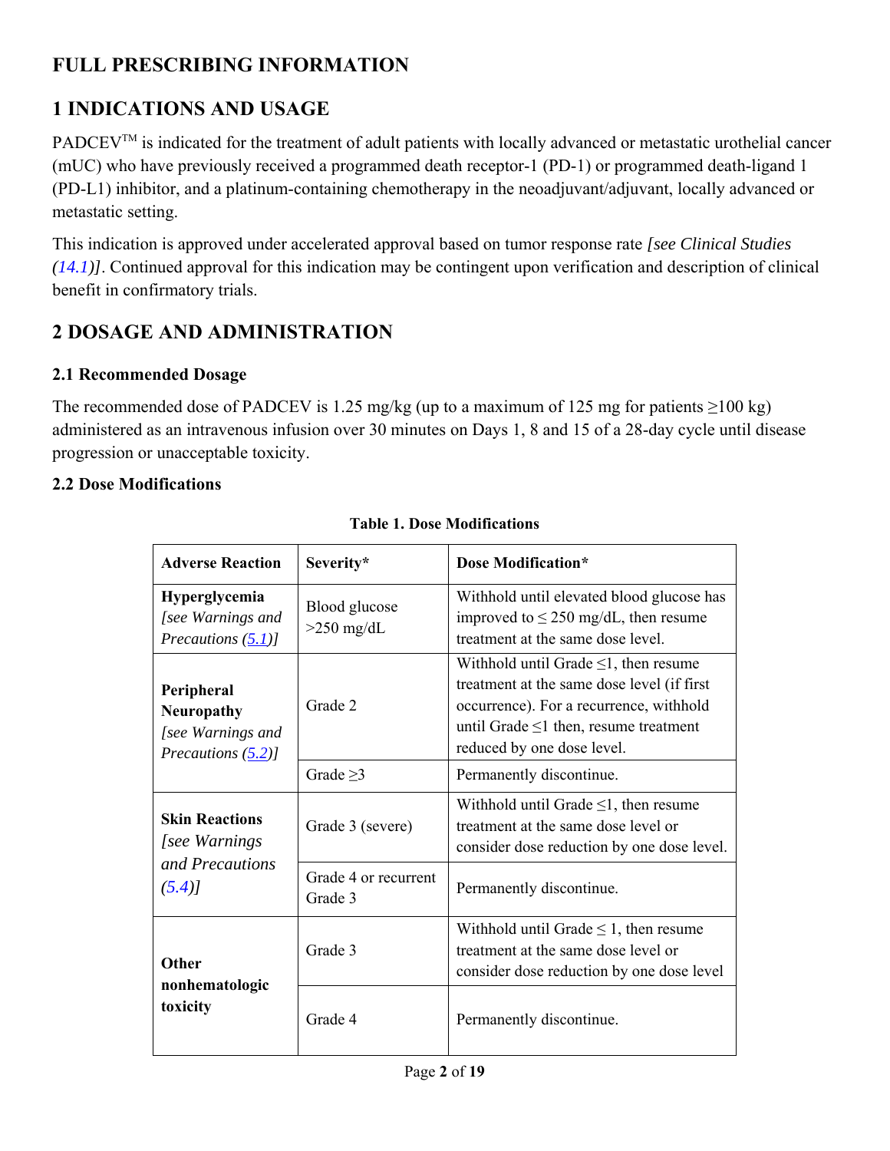# **FULL PRESCRIBING INFORMATION**

# **1 INDICATIONS AND USAGE**

PADCEV<sup>TM</sup> is indicated for the treatment of adult patients with locally advanced or metastatic urothelial cancer (mUC) who have previously received a programmed death receptor-1 (PD-1) or programmed death-ligand 1 (PD-L1) inhibitor, and a platinum-containing chemotherapy in the neoadjuvant/adjuvant, locally advanced or metastatic setting.

This indication is approved under accelerated approval based on tumor response rate *[see Clinical Studies (14.1)]*. Continued approval for this indication may be contingent upon verification and description of clinical benefit in confirmatory trials.

# **2 DOSAGE AND ADMINISTRATION**

### **2.1 Recommended Dosage**

The recommended dose of PADCEV is 1.25 mg/kg (up to a maximum of 125 mg for patients  $\geq$ 100 kg) administered as an intravenous infusion over 30 minutes on Days 1, 8 and 15 of a 28-day cycle until disease progression or unacceptable toxicity.

### **2.2 Dose Modifications**

| <b>Adverse Reaction</b>                                                                  | Severity*                       | <b>Dose Modification*</b>                                                                                                                                                                                        |  |
|------------------------------------------------------------------------------------------|---------------------------------|------------------------------------------------------------------------------------------------------------------------------------------------------------------------------------------------------------------|--|
| Hyperglycemia<br>[see Warnings and<br>Precautions $(5.1)$ ]                              | Blood glucose<br>$>250$ mg/dL   | Withhold until elevated blood glucose has<br>improved to $\leq$ 250 mg/dL, then resume<br>treatment at the same dose level.                                                                                      |  |
| Peripheral<br>Grade 2<br><b>Neuropathy</b><br>[see Warnings and<br>Precautions $(5.2)$ ] |                                 | Withhold until Grade $\leq$ 1, then resume<br>treatment at the same dose level (if first<br>occurrence). For a recurrence, withhold<br>until Grade $\leq 1$ then, resume treatment<br>reduced by one dose level. |  |
|                                                                                          | Grade $\geq$ 3                  | Permanently discontinue.                                                                                                                                                                                         |  |
| <b>Skin Reactions</b><br>[see Warnings]<br>and Precautions<br>(5.4)                      | Grade 3 (severe)                | Withhold until Grade $\leq$ 1, then resume<br>treatment at the same dose level or<br>consider dose reduction by one dose level.                                                                                  |  |
|                                                                                          | Grade 4 or recurrent<br>Grade 3 | Permanently discontinue.                                                                                                                                                                                         |  |
| <b>Other</b><br>nonhematologic<br>toxicity                                               | Grade 3                         | Withhold until Grade $\leq 1$ , then resume<br>treatment at the same dose level or<br>consider dose reduction by one dose level                                                                                  |  |
|                                                                                          | Grade 4                         | Permanently discontinue.                                                                                                                                                                                         |  |

### **Table 1. Dose Modifications**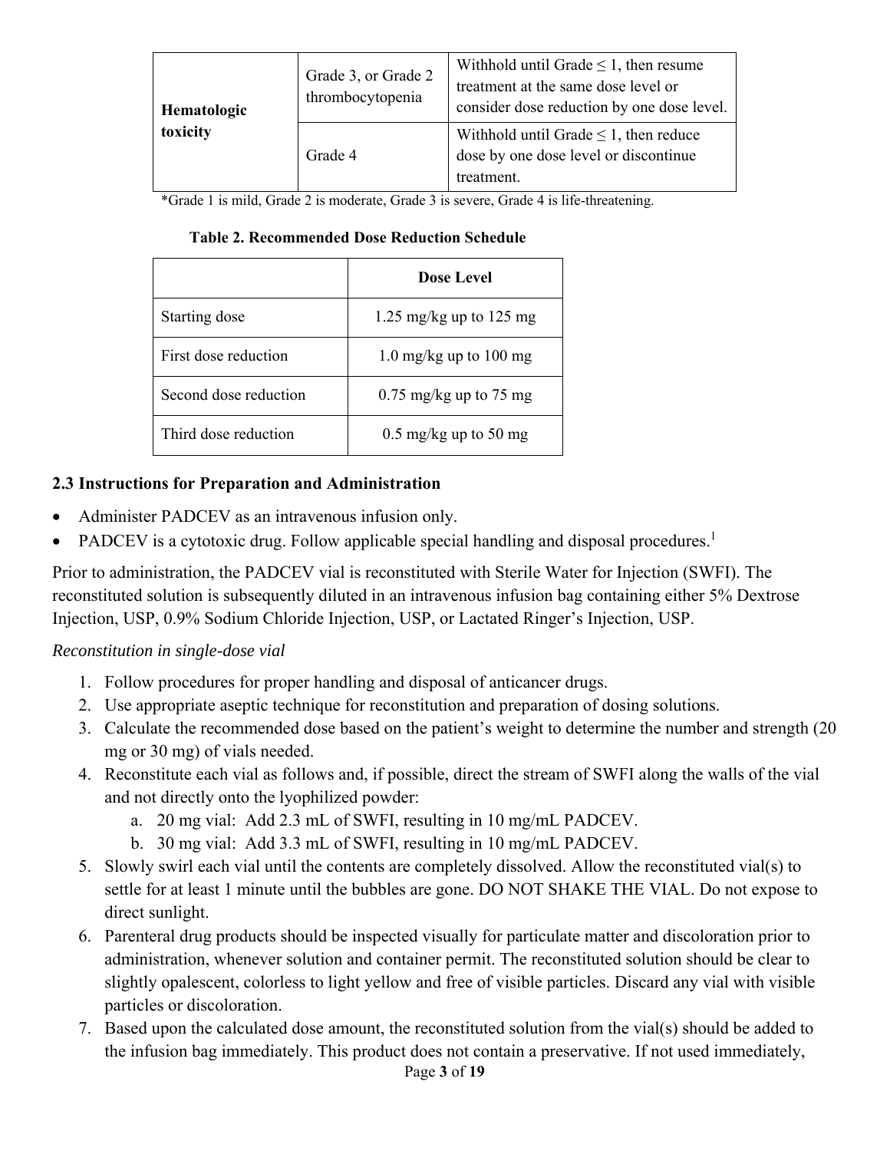| Hematologic | Grade 3, or Grade 2<br>thrombocytopenia | Withhold until Grade $\leq 1$ , then resume<br>treatment at the same dose level or<br>consider dose reduction by one dose level. |
|-------------|-----------------------------------------|----------------------------------------------------------------------------------------------------------------------------------|
| toxicity    | Grade 4                                 | Withhold until Grade $\leq 1$ , then reduce<br>dose by one dose level or discontinue<br>treatment.                               |

\*Grade 1 is mild, Grade 2 is moderate, Grade 3 is severe, Grade 4 is life-threatening.

| <b>Table 2. Recommended Dose Reduction Schedule</b> |  |  |
|-----------------------------------------------------|--|--|
|-----------------------------------------------------|--|--|

|                       | <b>Dose Level</b>                |
|-----------------------|----------------------------------|
| Starting dose         | 1.25 mg/kg up to 125 mg          |
| First dose reduction  | 1.0 mg/kg up to $100 \text{ mg}$ |
| Second dose reduction | $0.75 \text{ mg/kg}$ up to 75 mg |
| Third dose reduction  | $0.5 \text{ mg/kg}$ up to 50 mg  |

### **2.3 Instructions for Preparation and Administration**

- Administer PADCEV as an intravenous infusion only.
- PADCEV is a cytotoxic drug. Follow applicable special handling and disposal procedures.<sup>1</sup>

Prior to administration, the PADCEV vial is reconstituted with Sterile Water for Injection (SWFI). The reconstituted solution is subsequently diluted in an intravenous infusion bag containing either 5% Dextrose Injection, USP, 0.9% Sodium Chloride Injection, USP, or Lactated Ringer's Injection, USP.

### *Reconstitution in single-dose vial*

- 1. Follow procedures for proper handling and disposal of anticancer drugs.
- 2. Use appropriate aseptic technique for reconstitution and preparation of dosing solutions.
- 3. Calculate the recommended dose based on the patient's weight to determine the number and strength (20 mg or 30 mg) of vials needed.
- 4. Reconstitute each vial as follows and, if possible, direct the stream of SWFI along the walls of the vial and not directly onto the lyophilized powder:
	- a. 20 mg vial: Add 2.3 mL of SWFI, resulting in 10 mg/mL PADCEV.
	- b. 30 mg vial: Add 3.3 mL of SWFI, resulting in 10 mg/mL PADCEV.
- 5. Slowly swirl each vial until the contents are completely dissolved. Allow the reconstituted vial(s) to settle for at least 1 minute until the bubbles are gone. DO NOT SHAKE THE VIAL. Do not expose to direct sunlight.
- 6. Parenteral drug products should be inspected visually for particulate matter and discoloration prior to administration, whenever solution and container permit. The reconstituted solution should be clear to slightly opalescent, colorless to light yellow and free of visible particles. Discard any vial with visible particles or discoloration.
- 7. Based upon the calculated dose amount, the reconstituted solution from the vial(s) should be added to the infusion bag immediately. This product does not contain a preservative. If not used immediately,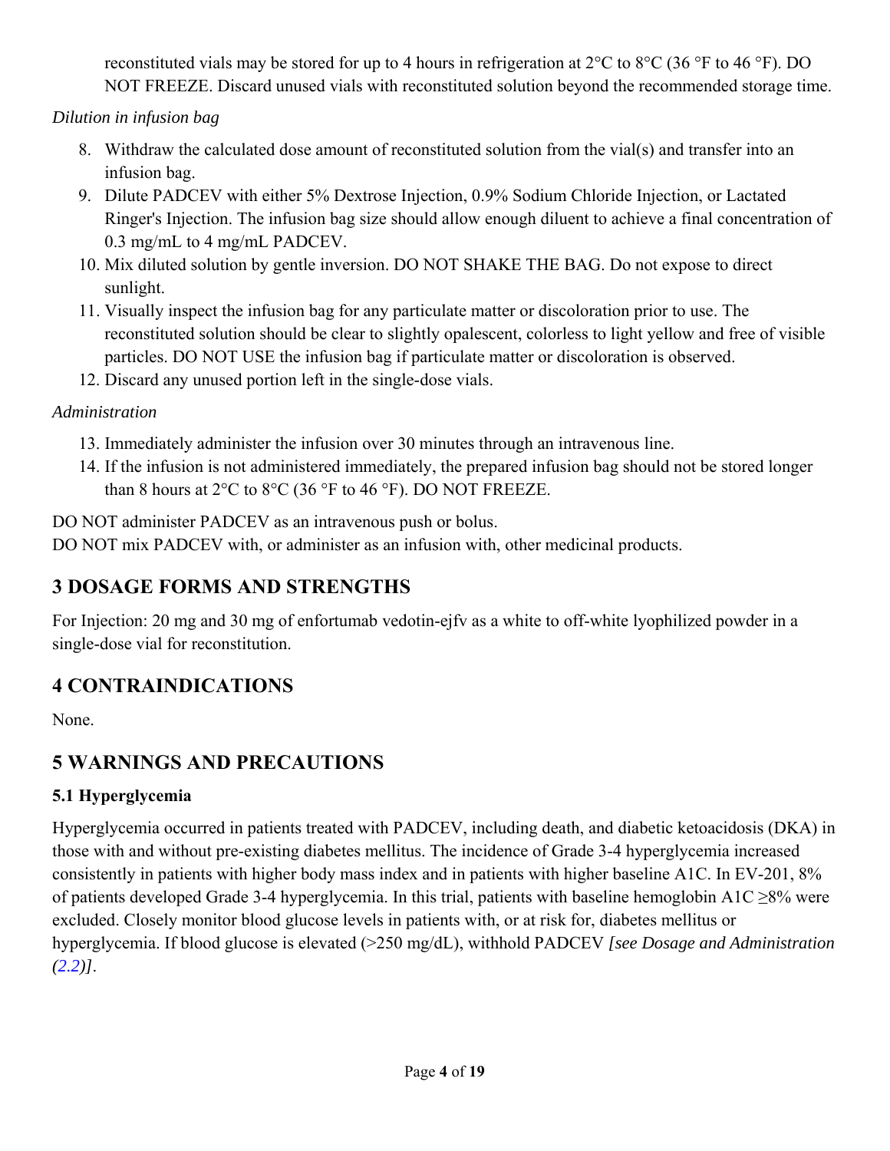reconstituted vials may be stored for up to 4 hours in refrigeration at 2°C to 8°C (36 °F to 46 °F). DO NOT FREEZE. Discard unused vials with reconstituted solution beyond the recommended storage time.

*Dilution in infusion bag* 

- 8. Withdraw the calculated dose amount of reconstituted solution from the vial(s) and transfer into an infusion bag.
- 9. Dilute PADCEV with either 5% Dextrose Injection, 0.9% Sodium Chloride Injection, or Lactated Ringer's Injection. The infusion bag size should allow enough diluent to achieve a final concentration of 0.3 mg/mL to 4 mg/mL PADCEV.
- 10. Mix diluted solution by gentle inversion. DO NOT SHAKE THE BAG. Do not expose to direct sunlight.
- 11. Visually inspect the infusion bag for any particulate matter or discoloration prior to use. The reconstituted solution should be clear to slightly opalescent, colorless to light yellow and free of visible particles. DO NOT USE the infusion bag if particulate matter or discoloration is observed.
- 12. Discard any unused portion left in the single-dose vials.

## *Administration*

- 13. Immediately administer the infusion over 30 minutes through an intravenous line.
- 14. If the infusion is not administered immediately, the prepared infusion bag should not be stored longer than 8 hours at  $2^{\circ}$ C to  $8^{\circ}$ C (36  $^{\circ}$ F to 46  $^{\circ}$ F). DO NOT FREEZE.

DO NOT administer PADCEV as an intravenous push or bolus.

DO NOT mix PADCEV with, or administer as an infusion with, other medicinal products.

# **3 DOSAGE FORMS AND STRENGTHS**

For Injection: 20 mg and 30 mg of enfortumab vedotin-ejfv as a white to off-white lyophilized powder in a single-dose vial for reconstitution.

# **4 CONTRAINDICATIONS**

None.

# **5 WARNINGS AND PRECAUTIONS**

# **5.1 Hyperglycemia**

Hyperglycemia occurred in patients treated with PADCEV, including death, and diabetic ketoacidosis (DKA) in those with and without pre-existing diabetes mellitus. The incidence of Grade 3-4 hyperglycemia increased consistently in patients with higher body mass index and in patients with higher baseline A1C. In EV-201, 8% of patients developed Grade 3-4 hyperglycemia. In this trial, patients with baseline hemoglobin A1C ≥8% were excluded. Closely monitor blood glucose levels in patients with, or at risk for, diabetes mellitus or hyperglycemia. If blood glucose is elevated (>250 mg/dL), withhold PADCEV *[see Dosage and Administration (2.2)]*.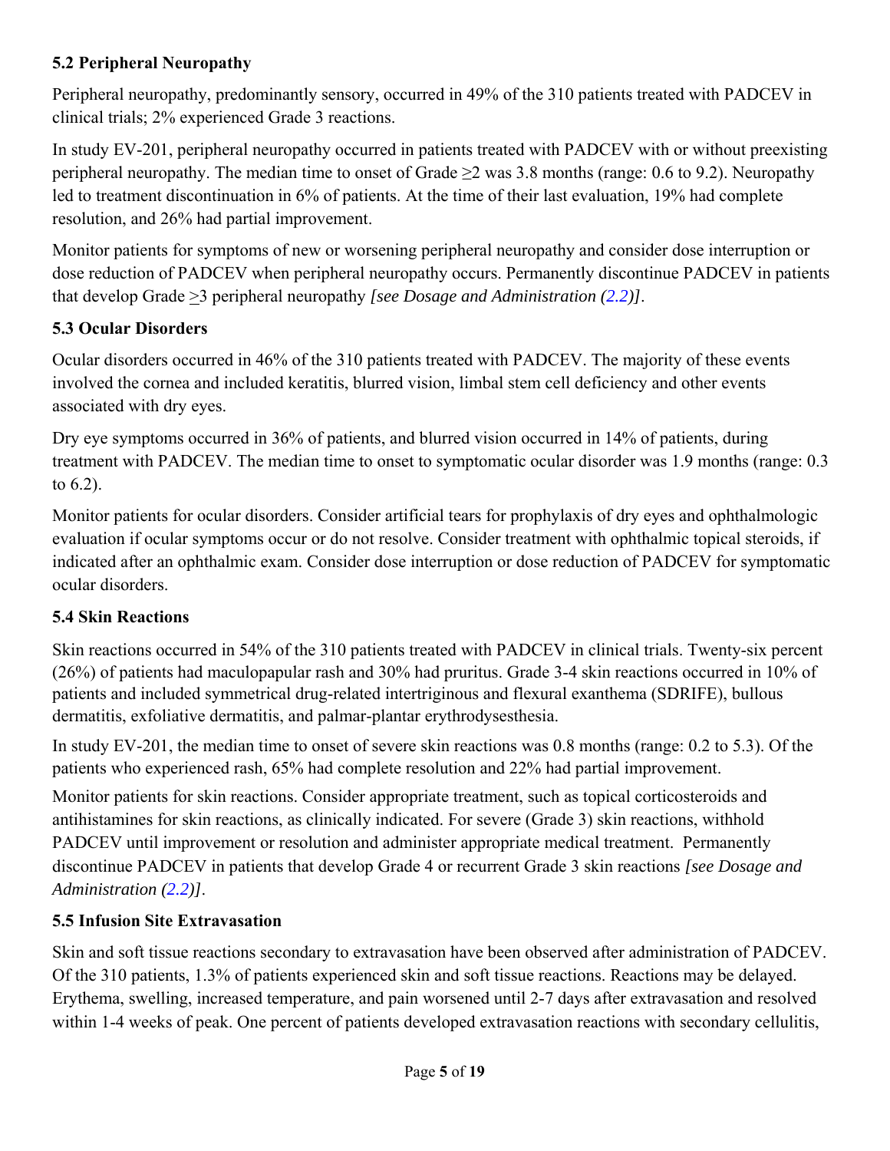### **5.2 Peripheral Neuropathy**

Peripheral neuropathy, predominantly sensory, occurred in 49% of the 310 patients treated with PADCEV in clinical trials; 2% experienced Grade 3 reactions.

In study EV-201, peripheral neuropathy occurred in patients treated with PADCEV with or without preexisting peripheral neuropathy. The median time to onset of Grade  $\geq$  was 3.8 months (range: 0.6 to 9.2). Neuropathy led to treatment discontinuation in 6% of patients. At the time of their last evaluation, 19% had complete resolution, and 26% had partial improvement.

Monitor patients for symptoms of new or worsening peripheral neuropathy and consider dose interruption or dose reduction of PADCEV when peripheral neuropathy occurs. Permanently discontinue PADCEV in patients that develop Grade >3 peripheral neuropathy *[see Dosage and Administration (2.2)]*.

### **5.3 Ocular Disorders**

Ocular disorders occurred in 46% of the 310 patients treated with PADCEV. The majority of these events involved the cornea and included keratitis, blurred vision, limbal stem cell deficiency and other events associated with dry eyes.

Dry eye symptoms occurred in 36% of patients, and blurred vision occurred in 14% of patients, during treatment with PADCEV. The median time to onset to symptomatic ocular disorder was 1.9 months (range: 0.3 to 6.2).

Monitor patients for ocular disorders. Consider artificial tears for prophylaxis of dry eyes and ophthalmologic evaluation if ocular symptoms occur or do not resolve. Consider treatment with ophthalmic topical steroids, if indicated after an ophthalmic exam. Consider dose interruption or dose reduction of PADCEV for symptomatic ocular disorders.

### **5.4 Skin Reactions**

Skin reactions occurred in 54% of the 310 patients treated with PADCEV in clinical trials. Twenty-six percent (26%) of patients had maculopapular rash and 30% had pruritus. Grade 3-4 skin reactions occurred in 10% of patients and included symmetrical drug-related intertriginous and flexural exanthema (SDRIFE), bullous dermatitis, exfoliative dermatitis, and palmar-plantar erythrodysesthesia.

In study EV-201, the median time to onset of severe skin reactions was 0.8 months (range: 0.2 to 5.3). Of the patients who experienced rash, 65% had complete resolution and 22% had partial improvement.

Monitor patients for skin reactions. Consider appropriate treatment, such as topical corticosteroids and antihistamines for skin reactions, as clinically indicated. For severe (Grade 3) skin reactions, withhold PADCEV until improvement or resolution and administer appropriate medical treatment. Permanently discontinue PADCEV in patients that develop Grade 4 or recurrent Grade 3 skin reactions *[see Dosage and Administration (2.2)]*.

### **5.5 Infusion Site Extravasation**

Skin and soft tissue reactions secondary to extravasation have been observed after administration of PADCEV. Of the 310 patients, 1.3% of patients experienced skin and soft tissue reactions. Reactions may be delayed. Erythema, swelling, increased temperature, and pain worsened until 2-7 days after extravasation and resolved within 1-4 weeks of peak. One percent of patients developed extravasation reactions with secondary cellulitis,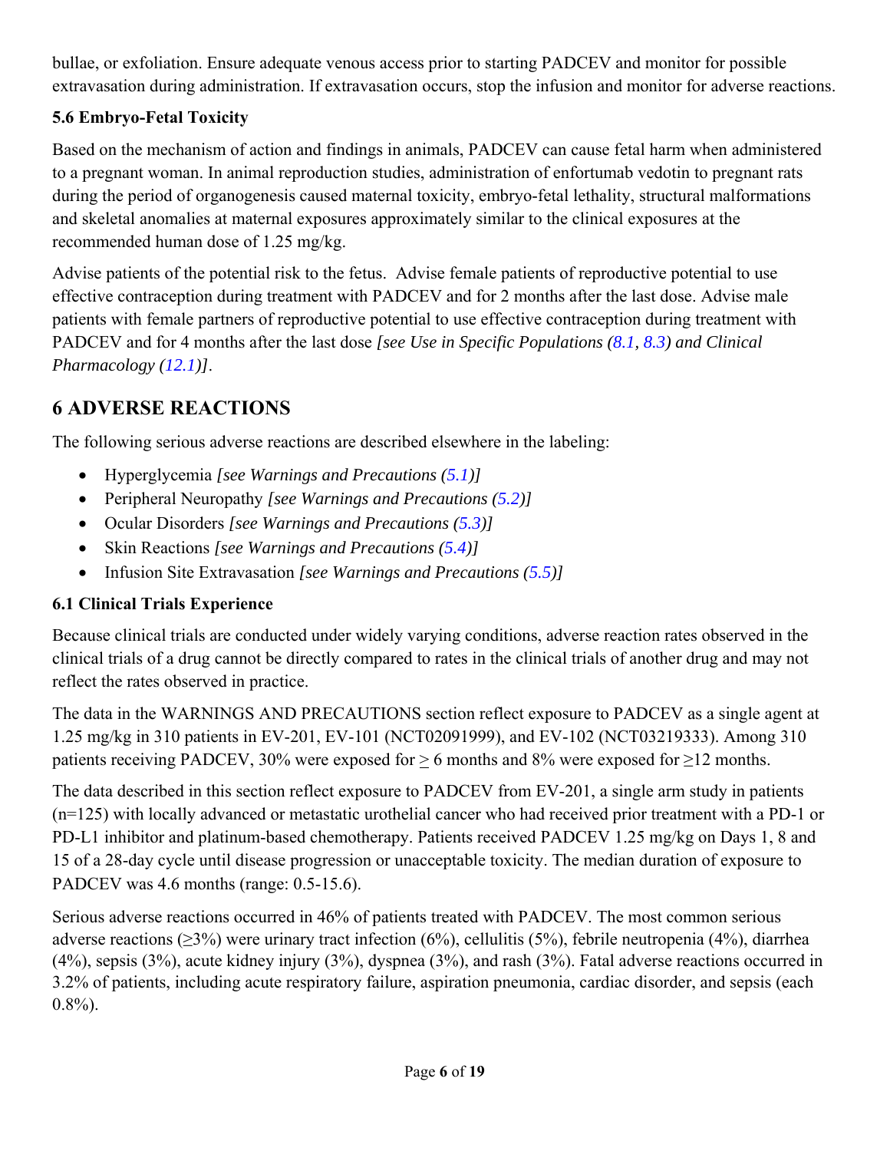bullae, or exfoliation. Ensure adequate venous access prior to starting PADCEV and monitor for possible extravasation during administration. If extravasation occurs, stop the infusion and monitor for adverse reactions.

## **5.6 Embryo-Fetal Toxicity**

Based on the mechanism of action and findings in animals, PADCEV can cause fetal harm when administered to a pregnant woman. In animal reproduction studies, administration of enfortumab vedotin to pregnant rats during the period of organogenesis caused maternal toxicity, embryo-fetal lethality, structural malformations and skeletal anomalies at maternal exposures approximately similar to the clinical exposures at the recommended human dose of 1.25 mg/kg.

Advise patients of the potential risk to the fetus. Advise female patients of reproductive potential to use effective contraception during treatment with PADCEV and for 2 months after the last dose. Advise male patients with female partners of reproductive potential to use effective contraception during treatment with PADCEV and for 4 months after the last dose *[see Use in Specific Populations (8.1, 8.3) and Clinical Pharmacology (12.1)]*.

# **6 ADVERSE REACTIONS**

The following serious adverse reactions are described elsewhere in the labeling:

- Hyperglycemia *[see Warnings and Precautions (5.1)]*
- Peripheral Neuropathy *[see Warnings and Precautions (5.2)]*
- Ocular Disorders *[see Warnings and Precautions (5.3)]*
- Skin Reactions *[see Warnings and Precautions (5.4)]*
- Infusion Site Extravasation *[see Warnings and Precautions (5.5)]*

### **6.1 Clinical Trials Experience**

Because clinical trials are conducted under widely varying conditions, adverse reaction rates observed in the clinical trials of a drug cannot be directly compared to rates in the clinical trials of another drug and may not reflect the rates observed in practice.

The data in the WARNINGS AND PRECAUTIONS section reflect exposure to PADCEV as a single agent at 1.25 mg/kg in 310 patients in EV-201, EV-101 (NCT02091999), and EV-102 (NCT03219333). Among 310 patients receiving PADCEV, 30% were exposed for > 6 months and 8% were exposed for  $\geq$ 12 months.

The data described in this section reflect exposure to PADCEV from EV-201, a single arm study in patients (n=125) with locally advanced or metastatic urothelial cancer who had received prior treatment with a PD-1 or PD-L1 inhibitor and platinum-based chemotherapy. Patients received PADCEV 1.25 mg/kg on Days 1, 8 and 15 of a 28-day cycle until disease progression or unacceptable toxicity. The median duration of exposure to PADCEV was 4.6 months (range: 0.5-15.6).

Serious adverse reactions occurred in 46% of patients treated with PADCEV. The most common serious adverse reactions (≥3%) were urinary tract infection (6%), cellulitis (5%), febrile neutropenia (4%), diarrhea (4%), sepsis (3%), acute kidney injury (3%), dyspnea (3%), and rash (3%). Fatal adverse reactions occurred in 3.2% of patients, including acute respiratory failure, aspiration pneumonia, cardiac disorder, and sepsis (each  $0.8\%$ ).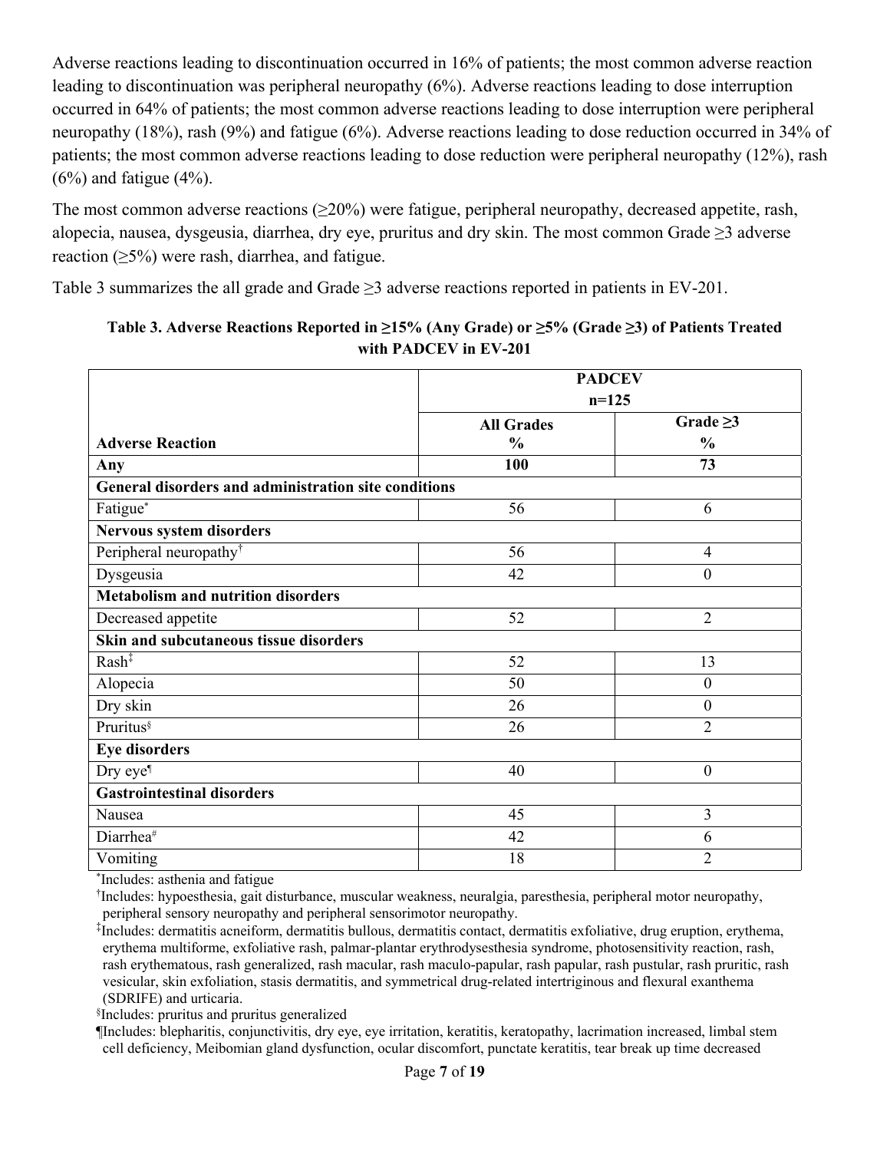Adverse reactions leading to discontinuation occurred in 16% of patients; the most common adverse reaction leading to discontinuation was peripheral neuropathy (6%). Adverse reactions leading to dose interruption occurred in 64% of patients; the most common adverse reactions leading to dose interruption were peripheral neuropathy (18%), rash (9%) and fatigue (6%). Adverse reactions leading to dose reduction occurred in 34% of patients; the most common adverse reactions leading to dose reduction were peripheral neuropathy (12%), rash  $(6\%)$  and fatigue  $(4\%)$ .

The most common adverse reactions  $(\geq 20\%)$  were fatigue, peripheral neuropathy, decreased appetite, rash, alopecia, nausea, dysgeusia, diarrhea, dry eye, pruritus and dry skin. The most common Grade ≥3 adverse reaction  $(≥5%)$  were rash, diarrhea, and fatigue.

Table 3 summarizes the all grade and Grade ≥3 adverse reactions reported in patients in EV-201.

|                                                      | <b>PADCEV</b>     |                |  |
|------------------------------------------------------|-------------------|----------------|--|
|                                                      | $n=125$           |                |  |
|                                                      | <b>All Grades</b> | Grade $\geq$ 3 |  |
| <b>Adverse Reaction</b>                              | $\frac{0}{0}$     | $\frac{0}{0}$  |  |
| Any                                                  | 100               | 73             |  |
| General disorders and administration site conditions |                   |                |  |
| Fatigue*                                             | 56                | 6              |  |
| Nervous system disorders                             |                   |                |  |
| Peripheral neuropathy <sup>†</sup>                   | 56                | $\overline{4}$ |  |
| Dysgeusia                                            | 42                | $\overline{0}$ |  |
| <b>Metabolism and nutrition disorders</b>            |                   |                |  |
| Decreased appetite                                   | 52                | $\overline{2}$ |  |
| Skin and subcutaneous tissue disorders               |                   |                |  |
| $Rash^{\ddagger}$                                    | 52                | 13             |  |
| Alopecia                                             | 50                | $\overline{0}$ |  |
| Dry skin                                             | 26                | $\theta$       |  |
| Pruritus                                             | 26                | $\overline{2}$ |  |
| <b>Eye disorders</b>                                 |                   |                |  |
| Dry eye <sup>¶</sup>                                 | 40                | $\mathbf{0}$   |  |
| <b>Gastrointestinal disorders</b>                    |                   |                |  |
| Nausea                                               | 45                | 3              |  |
| Diarrhea#                                            | 42                | 6              |  |
| Vomiting                                             | 18                | $\overline{2}$ |  |

### **Table 3. Adverse Reactions Reported in ≥15% (Any Grade) or ≥5% (Grade ≥3) of Patients Treated with PADCEV in EV-201**

\* Includes: asthenia and fatigue

† Includes: hypoesthesia, gait disturbance, muscular weakness, neuralgia, paresthesia, peripheral motor neuropathy, peripheral sensory neuropathy and peripheral sensorimotor neuropathy.

‡ Includes: dermatitis acneiform, dermatitis bullous, dermatitis contact, dermatitis exfoliative, drug eruption, erythema, erythema multiforme, exfoliative rash, palmar-plantar erythrodysesthesia syndrome, photosensitivity reaction, rash, rash erythematous, rash generalized, rash macular, rash maculo-papular, rash papular, rash pustular, rash pruritic, rash vesicular, skin exfoliation, stasis dermatitis, and symmetrical drug-related intertriginous and flexural exanthema (SDRIFE) and urticaria.

§ Includes: pruritus and pruritus generalized

¶Includes: blepharitis, conjunctivitis, dry eye, eye irritation, keratitis, keratopathy, lacrimation increased, limbal stem cell deficiency, Meibomian gland dysfunction, ocular discomfort, punctate keratitis, tear break up time decreased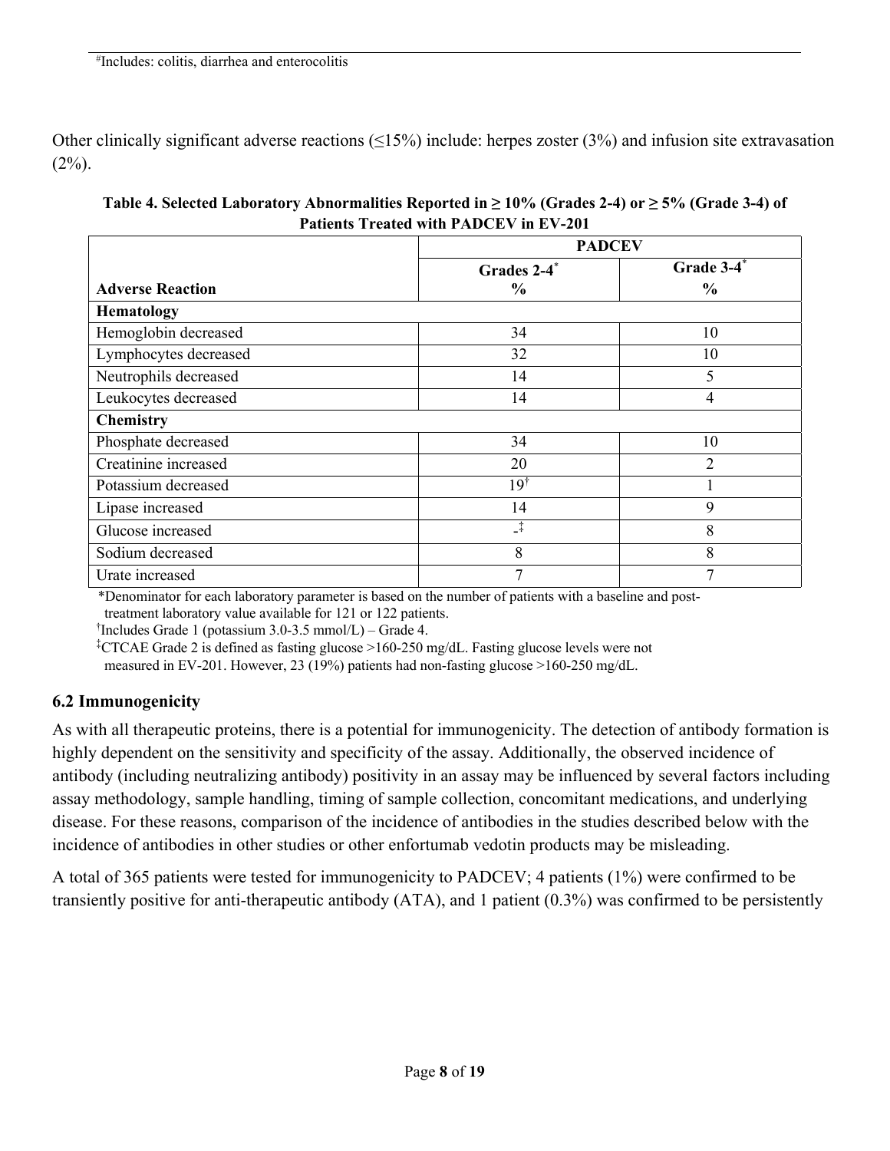Other clinically significant adverse reactions  $(\leq15\%)$  include: herpes zoster (3%) and infusion site extravasation  $(2\%)$ .

| Table 4. Selected Laboratory Abnormalities Reported in $\geq 10\%$ (Grades 2-4) or $\geq 5\%$ (Grade 3-4) of |
|--------------------------------------------------------------------------------------------------------------|
| <b>Patients Treated with PADCEV in EV-201</b>                                                                |

|                         | <b>PADCEV</b>  |                |
|-------------------------|----------------|----------------|
|                         | Grades 2-4*    | Grade 3-4*     |
| <b>Adverse Reaction</b> | $\%$           | $\frac{6}{6}$  |
| <b>Hematology</b>       |                |                |
| Hemoglobin decreased    | 34             | 10             |
| Lymphocytes decreased   | 32             | 10             |
| Neutrophils decreased   | 14             | 5              |
| Leukocytes decreased    | 14             | 4              |
| <b>Chemistry</b>        |                |                |
| Phosphate decreased     | 34             | 10             |
| Creatinine increased    | 20             | $\overline{2}$ |
| Potassium decreased     | $19^{\dagger}$ |                |
| Lipase increased        | 14             | 9              |
| Glucose increased       | $\downarrow$   | 8              |
| Sodium decreased        | 8              | 8              |
| Urate increased         | ⇁              | 7              |

\*Denominator for each laboratory parameter is based on the number of patients with a baseline and post-

treatment laboratory value available for 121 or 122 patients.

† Includes Grade 1 (potassium 3.0-3.5 mmol/L) – Grade 4.

‡ CTCAE Grade 2 is defined as fasting glucose >160-250 mg/dL. Fasting glucose levels were not measured in EV-201. However, 23 (19%) patients had non-fasting glucose >160-250 mg/dL.

### **6.2 Immunogenicity**

As with all therapeutic proteins, there is a potential for immunogenicity. The detection of antibody formation is highly dependent on the sensitivity and specificity of the assay. Additionally, the observed incidence of antibody (including neutralizing antibody) positivity in an assay may be influenced by several factors including assay methodology, sample handling, timing of sample collection, concomitant medications, and underlying disease. For these reasons, comparison of the incidence of antibodies in the studies described below with the incidence of antibodies in other studies or other enfortumab vedotin products may be misleading.

A total of 365 patients were tested for immunogenicity to PADCEV; 4 patients (1%) were confirmed to be transiently positive for anti-therapeutic antibody (ATA), and 1 patient (0.3%) was confirmed to be persistently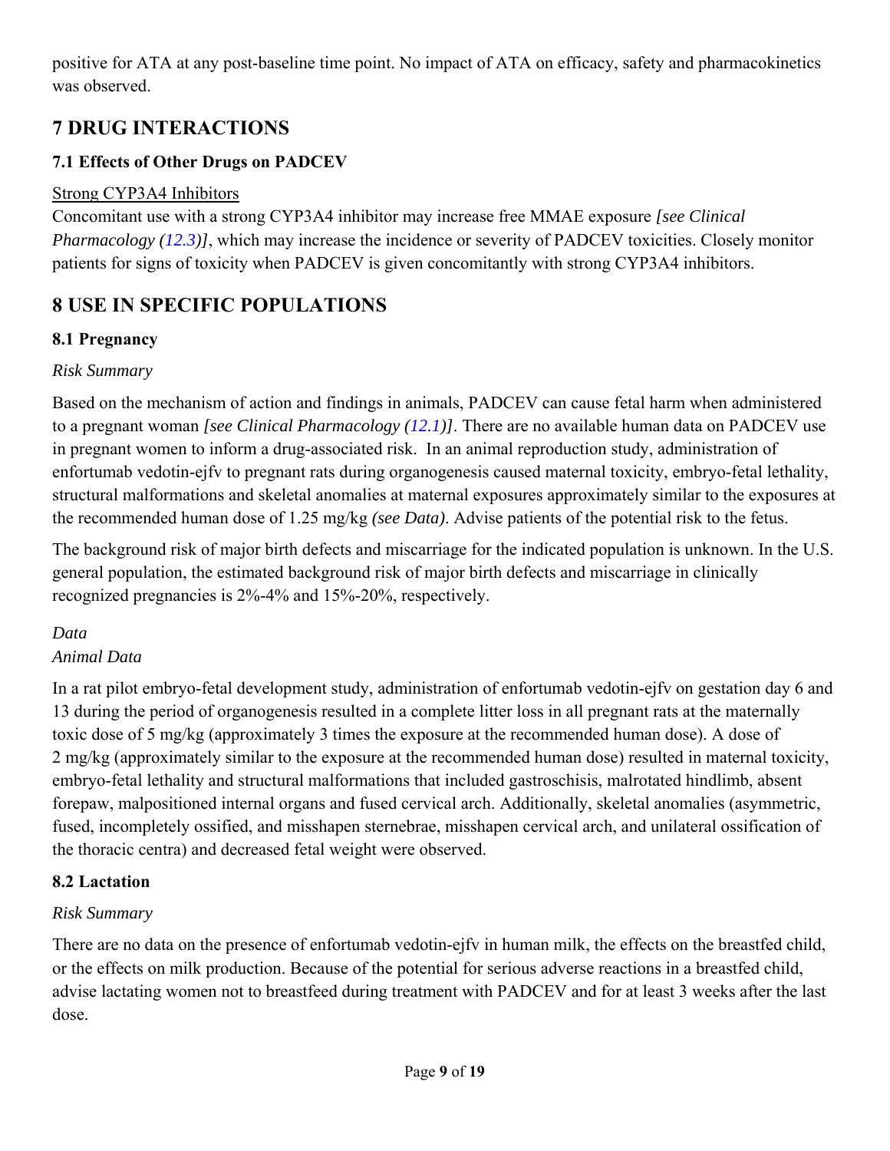positive for ATA at any post-baseline time point. No impact of ATA on efficacy, safety and pharmacokinetics was observed.

# **7 DRUG INTERACTIONS**

## **7.1 Effects of Other Drugs on PADCEV**

### Strong CYP3A4 Inhibitors

Concomitant use with a strong CYP3A4 inhibitor may increase free MMAE exposure *[see Clinical Pharmacology (12.3)]*, which may increase the incidence or severity of PADCEV toxicities. Closely monitor patients for signs of toxicity when PADCEV is given concomitantly with strong CYP3A4 inhibitors.

# **8 USE IN SPECIFIC POPULATIONS**

## **8.1 Pregnancy**

### *Risk Summary*

Based on the mechanism of action and findings in animals, PADCEV can cause fetal harm when administered to a pregnant woman *[see Clinical Pharmacology (12.1)]*. There are no available human data on PADCEV use in pregnant women to inform a drug-associated risk. In an animal reproduction study, administration of enfortumab vedotin-ejfv to pregnant rats during organogenesis caused maternal toxicity, embryo-fetal lethality, structural malformations and skeletal anomalies at maternal exposures approximately similar to the exposures at the recommended human dose of 1.25 mg/kg *(see Data)*. Advise patients of the potential risk to the fetus.

The background risk of major birth defects and miscarriage for the indicated population is unknown. In the U.S. general population, the estimated background risk of major birth defects and miscarriage in clinically recognized pregnancies is 2%-4% and 15%-20%, respectively.

### *Data*

### *Animal Data*

In a rat pilot embryo-fetal development study, administration of enfortumab vedotin-ejfv on gestation day 6 and 13 during the period of organogenesis resulted in a complete litter loss in all pregnant rats at the maternally toxic dose of 5 mg/kg (approximately 3 times the exposure at the recommended human dose). A dose of 2 mg/kg (approximately similar to the exposure at the recommended human dose) resulted in maternal toxicity, embryo-fetal lethality and structural malformations that included gastroschisis, malrotated hindlimb, absent forepaw, malpositioned internal organs and fused cervical arch. Additionally, skeletal anomalies (asymmetric, fused, incompletely ossified, and misshapen sternebrae, misshapen cervical arch, and unilateral ossification of the thoracic centra) and decreased fetal weight were observed.

### **8.2 Lactation**

### *Risk Summary*

There are no data on the presence of enfortumab vedotin-ejfv in human milk, the effects on the breastfed child, or the effects on milk production. Because of the potential for serious adverse reactions in a breastfed child, advise lactating women not to breastfeed during treatment with PADCEV and for at least 3 weeks after the last dose.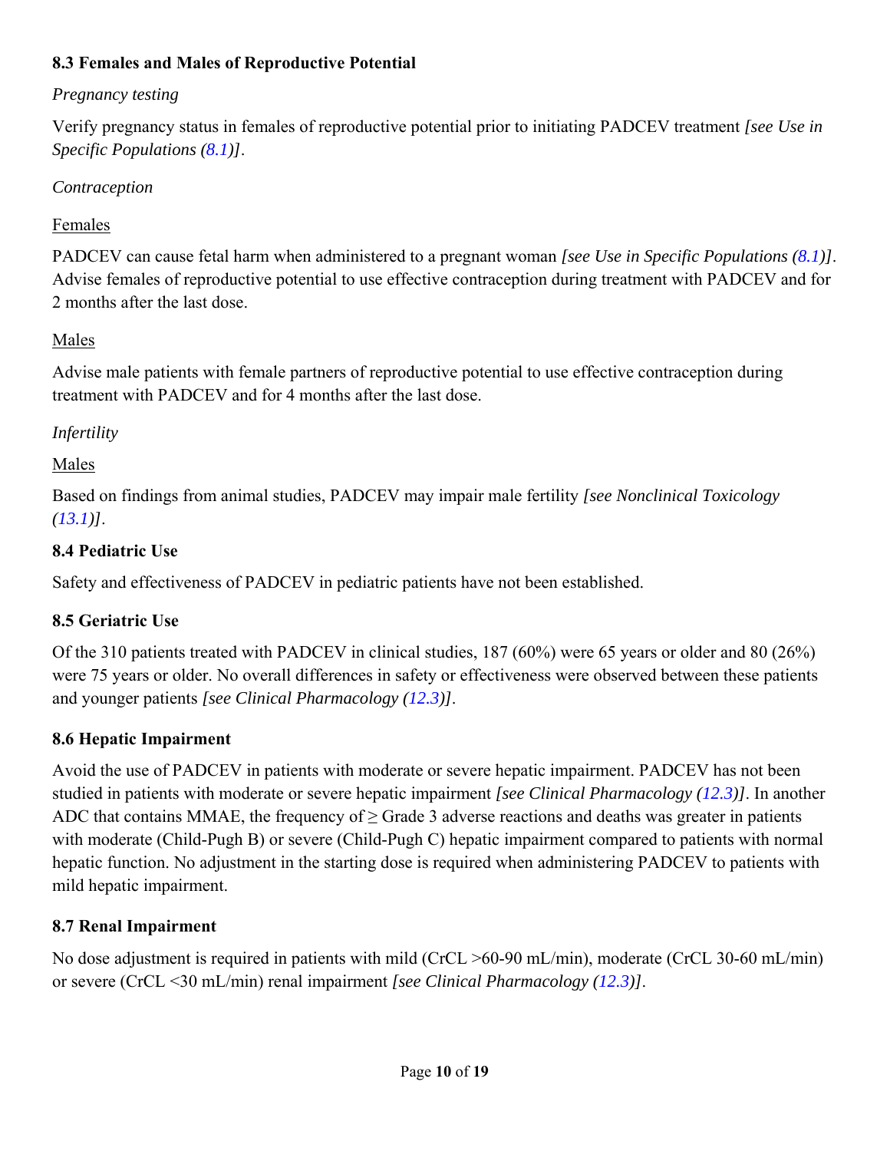### **8.3 Females and Males of Reproductive Potential**

### *Pregnancy testing*

Verify pregnancy status in females of reproductive potential prior to initiating PADCEV treatment *[see Use in Specific Populations (8.1)]*.

### *Contraception*

### Females

PADCEV can cause fetal harm when administered to a pregnant woman *[see Use in Specific Populations (8.1)]*. Advise females of reproductive potential to use effective contraception during treatment with PADCEV and for 2 months after the last dose.

### Males

Advise male patients with female partners of reproductive potential to use effective contraception during treatment with PADCEV and for 4 months after the last dose.

### *Infertility*

### Males

Based on findings from animal studies, PADCEV may impair male fertility *[see Nonclinical Toxicology (13.1)]*.

### **8.4 Pediatric Use**

Safety and effectiveness of PADCEV in pediatric patients have not been established.

### **8.5 Geriatric Use**

Of the 310 patients treated with PADCEV in clinical studies, 187 (60%) were 65 years or older and 80 (26%) were 75 years or older. No overall differences in safety or effectiveness were observed between these patients and younger patients *[see Clinical Pharmacology (12.3)]*.

### **8.6 Hepatic Impairment**

Avoid the use of PADCEV in patients with moderate or severe hepatic impairment. PADCEV has not been studied in patients with moderate or severe hepatic impairment *[see Clinical Pharmacology (12.3)]*. In another ADC that contains MMAE, the frequency of > Grade 3 adverse reactions and deaths was greater in patients with moderate (Child-Pugh B) or severe (Child-Pugh C) hepatic impairment compared to patients with normal hepatic function. No adjustment in the starting dose is required when administering PADCEV to patients with mild hepatic impairment.

### **8.7 Renal Impairment**

No dose adjustment is required in patients with mild (CrCL >60-90 mL/min), moderate (CrCL 30-60 mL/min) or severe (CrCL <30 mL/min) renal impairment *[see Clinical Pharmacology (12.3)]*.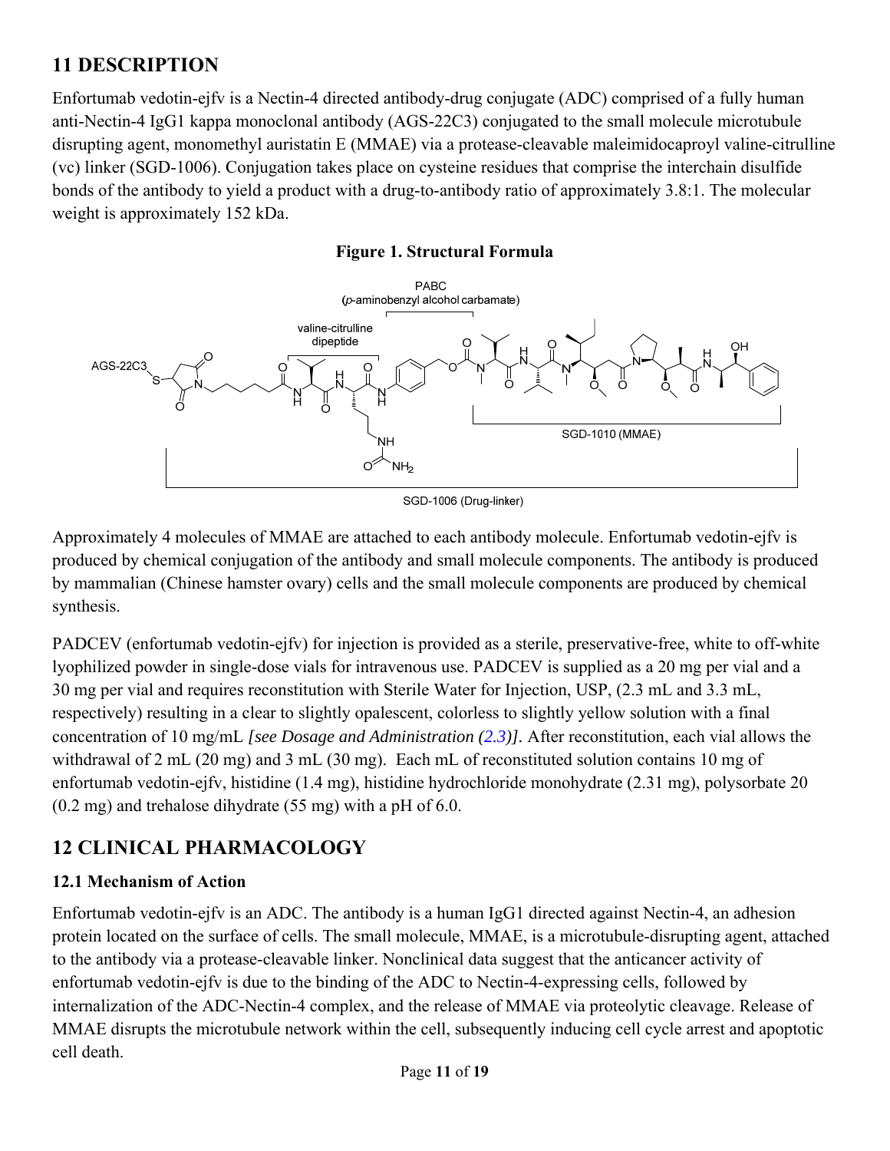# **11 DESCRIPTION**

Enfortumab vedotin-ejfv is a Nectin-4 directed antibody-drug conjugate (ADC) comprised of a fully human anti-Nectin-4 IgG1 kappa monoclonal antibody (AGS-22C3) conjugated to the small molecule microtubule disrupting agent, monomethyl auristatin E (MMAE) via a protease-cleavable maleimidocaproyl valine-citrulline (vc) linker (SGD-1006). Conjugation takes place on cysteine residues that comprise the interchain disulfide bonds of the antibody to yield a product with a drug-to-antibody ratio of approximately 3.8:1. The molecular weight is approximately 152 kDa.





Approximately 4 molecules of MMAE are attached to each antibody molecule. Enfortumab vedotin-ejfv is produced by chemical conjugation of the antibody and small molecule components. The antibody is produced by mammalian (Chinese hamster ovary) cells and the small molecule components are produced by chemical synthesis.

PADCEV (enfortumab vedotin-ejfv) for injection is provided as a sterile, preservative-free, white to off-white lyophilized powder in single-dose vials for intravenous use. PADCEV is supplied as a 20 mg per vial and a 30 mg per vial and requires reconstitution with Sterile Water for Injection, USP, (2.3 mL and 3.3 mL, respectively) resulting in a clear to slightly opalescent, colorless to slightly yellow solution with a final concentration of 10 mg/mL *[see Dosage and Administration (2.3)].* After reconstitution, each vial allows the withdrawal of 2 mL (20 mg) and 3 mL (30 mg). Each mL of reconstituted solution contains 10 mg of enfortumab vedotin-ejfv, histidine (1.4 mg), histidine hydrochloride monohydrate (2.31 mg), polysorbate 20 (0.2 mg) and trehalose dihydrate (55 mg) with a pH of 6.0.

# **12 CLINICAL PHARMACOLOGY**

### **12.1 Mechanism of Action**

Enfortumab vedotin-ejfv is an ADC. The antibody is a human IgG1 directed against Nectin-4, an adhesion protein located on the surface of cells. The small molecule, MMAE, is a microtubule-disrupting agent, attached to the antibody via a protease-cleavable linker. Nonclinical data suggest that the anticancer activity of enfortumab vedotin-ejfv is due to the binding of the ADC to Nectin-4-expressing cells, followed by internalization of the ADC-Nectin-4 complex, and the release of MMAE via proteolytic cleavage. Release of MMAE disrupts the microtubule network within the cell, subsequently inducing cell cycle arrest and apoptotic cell death.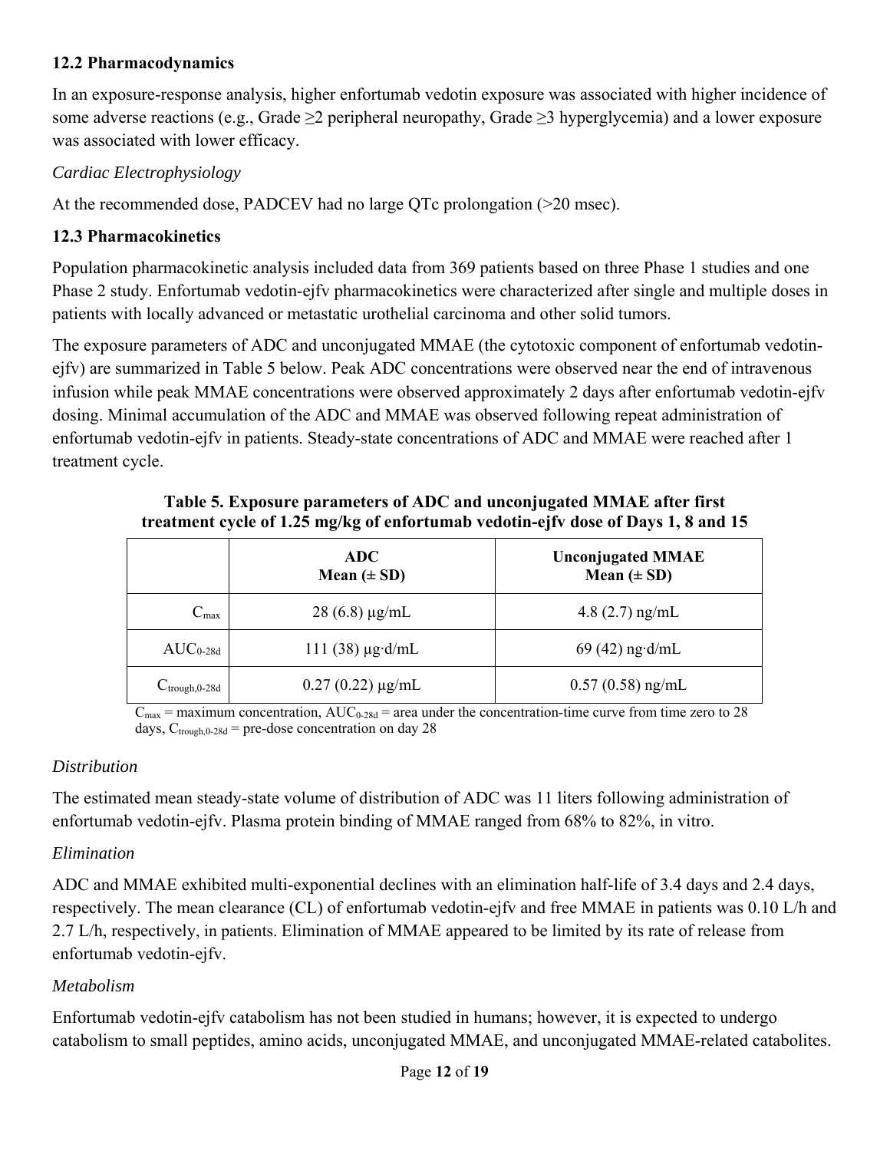### **12.2 Pharmacodynamics**

In an exposure-response analysis, higher enfortumab vedotin exposure was associated with higher incidence of some adverse reactions (e.g., Grade  $\geq 2$  peripheral neuropathy, Grade  $\geq 3$  hyperglycemia) and a lower exposure was associated with lower efficacy.

### *Cardiac Electrophysiology*

At the recommended dose, PADCEV had no large QTc prolongation (>20 msec).

### **12.3 Pharmacokinetics**

Population pharmacokinetic analysis included data from 369 patients based on three Phase 1 studies and one Phase 2 study. Enfortumab vedotin-ejfv pharmacokinetics were characterized after single and multiple doses in patients with locally advanced or metastatic urothelial carcinoma and other solid tumors.

The exposure parameters of ADC and unconjugated MMAE (the cytotoxic component of enfortumab vedotinejfv) are summarized in Table 5 below. Peak ADC concentrations were observed near the end of intravenous infusion while peak MMAE concentrations were observed approximately 2 days after enfortumab vedotin-ejfv dosing. Minimal accumulation of the ADC and MMAE was observed following repeat administration of enfortumab vedotin-ejfv in patients. Steady-state concentrations of ADC and MMAE were reached after 1 treatment cycle.

|                           | <b>ADC</b><br>Mean $(\pm SD)$ | <b>Unconjugated MMAE</b><br>Mean $(\pm SD)$ |
|---------------------------|-------------------------------|---------------------------------------------|
| $C_{\text{max}}$          | $28(6.8) \mu g/mL$            | 4.8 $(2.7)$ ng/mL                           |
| $AUC_{0-28d}$             | $111(38) \mu g \cdot d/mL$    | $69(42)$ ng·d/mL                            |
| $C_{\text{trough},0-28d}$ | $0.27(0.22) \mu g/mL$         | $0.57(0.58)$ ng/mL                          |

**Table 5. Exposure parameters of ADC and unconjugated MMAE after first treatment cycle of 1.25 mg/kg of enfortumab vedotin-ejfv dose of Days 1, 8 and 15**

 $C_{\text{max}}$  = maximum concentration,  $AUC_{0-28d}$  = area under the concentration-time curve from time zero to 28 days,  $C_{trough,0-28d}$  = pre-dose concentration on day 28

### *Distribution*

The estimated mean steady-state volume of distribution of ADC was 11 liters following administration of enfortumab vedotin-ejfv. Plasma protein binding of MMAE ranged from 68% to 82%, in vitro.

### *Elimination*

ADC and MMAE exhibited multi-exponential declines with an elimination half-life of 3.4 days and 2.4 days, respectively. The mean clearance (CL) of enfortumab vedotin-ejfv and free MMAE in patients was 0.10 L/h and 2.7 L/h, respectively, in patients. Elimination of MMAE appeared to be limited by its rate of release from enfortumab vedotin-ejfv.

### *Metabolism*

Enfortumab vedotin-ejfv catabolism has not been studied in humans; however, it is expected to undergo catabolism to small peptides, amino acids, unconjugated MMAE, and unconjugated MMAE-related catabolites.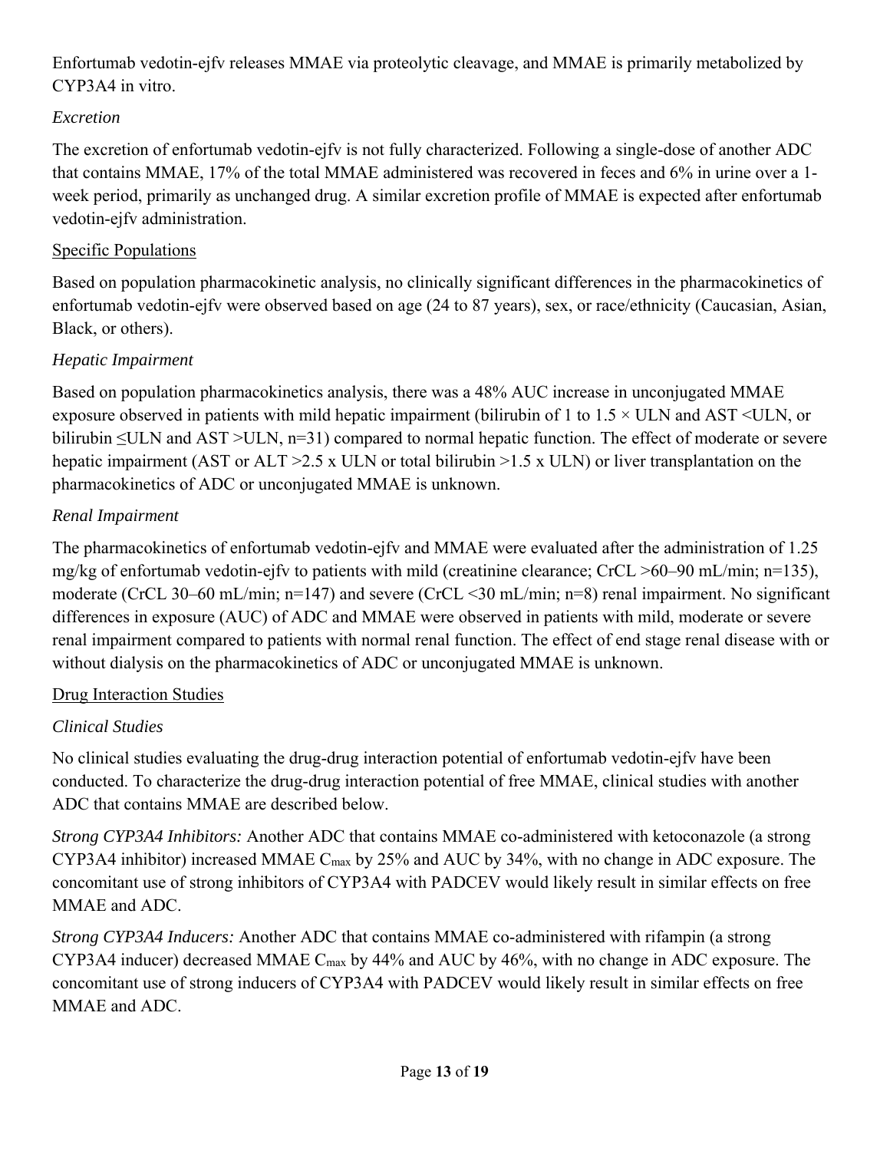Enfortumab vedotin-ejfv releases MMAE via proteolytic cleavage, and MMAE is primarily metabolized by CYP3A4 in vitro.

### *Excretion*

The excretion of enfortumab vedotin-ejfv is not fully characterized. Following a single-dose of another ADC that contains MMAE, 17% of the total MMAE administered was recovered in feces and 6% in urine over a 1 week period, primarily as unchanged drug. A similar excretion profile of MMAE is expected after enfortumab vedotin-ejfv administration.

### Specific Populations

Based on population pharmacokinetic analysis, no clinically significant differences in the pharmacokinetics of enfortumab vedotin-ejfv were observed based on age (24 to 87 years), sex, or race/ethnicity (Caucasian, Asian, Black, or others).

## *Hepatic Impairment*

Based on population pharmacokinetics analysis, there was a 48% AUC increase in unconjugated MMAE exposure observed in patients with mild hepatic impairment (bilirubin of 1 to  $1.5 \times$  ULN and AST <ULN, or bilirubin ≤ULN and AST >ULN, n=31) compared to normal hepatic function. The effect of moderate or severe hepatic impairment (AST or ALT > 2.5 x ULN or total bilirubin > 1.5 x ULN) or liver transplantation on the pharmacokinetics of ADC or unconjugated MMAE is unknown.

## *Renal Impairment*

The pharmacokinetics of enfortumab vedotin-ejfv and MMAE were evaluated after the administration of 1.25 mg/kg of enfortumab vedotin-ejfv to patients with mild (creatinine clearance; CrCL >60–90 mL/min; n=135), moderate (CrCL 30–60 mL/min; n=147) and severe (CrCL <30 mL/min; n=8) renal impairment. No significant differences in exposure (AUC) of ADC and MMAE were observed in patients with mild, moderate or severe renal impairment compared to patients with normal renal function. The effect of end stage renal disease with or without dialysis on the pharmacokinetics of ADC or unconjugated MMAE is unknown.

### Drug Interaction Studies

## *Clinical Studies*

No clinical studies evaluating the drug-drug interaction potential of enfortumab vedotin-ejfv have been conducted. To characterize the drug-drug interaction potential of free MMAE, clinical studies with another ADC that contains MMAE are described below.

*Strong CYP3A4 Inhibitors:* Another ADC that contains MMAE co-administered with ketoconazole (a strong CYP3A4 inhibitor) increased MMAE Cmax by 25% and AUC by 34%, with no change in ADC exposure. The concomitant use of strong inhibitors of CYP3A4 with PADCEV would likely result in similar effects on free MMAE and ADC.

*Strong CYP3A4 Inducers:* Another ADC that contains MMAE co-administered with rifampin (a strong CYP3A4 inducer) decreased MMAE  $C_{\text{max}}$  by 44% and AUC by 46%, with no change in ADC exposure. The concomitant use of strong inducers of CYP3A4 with PADCEV would likely result in similar effects on free MMAE and ADC.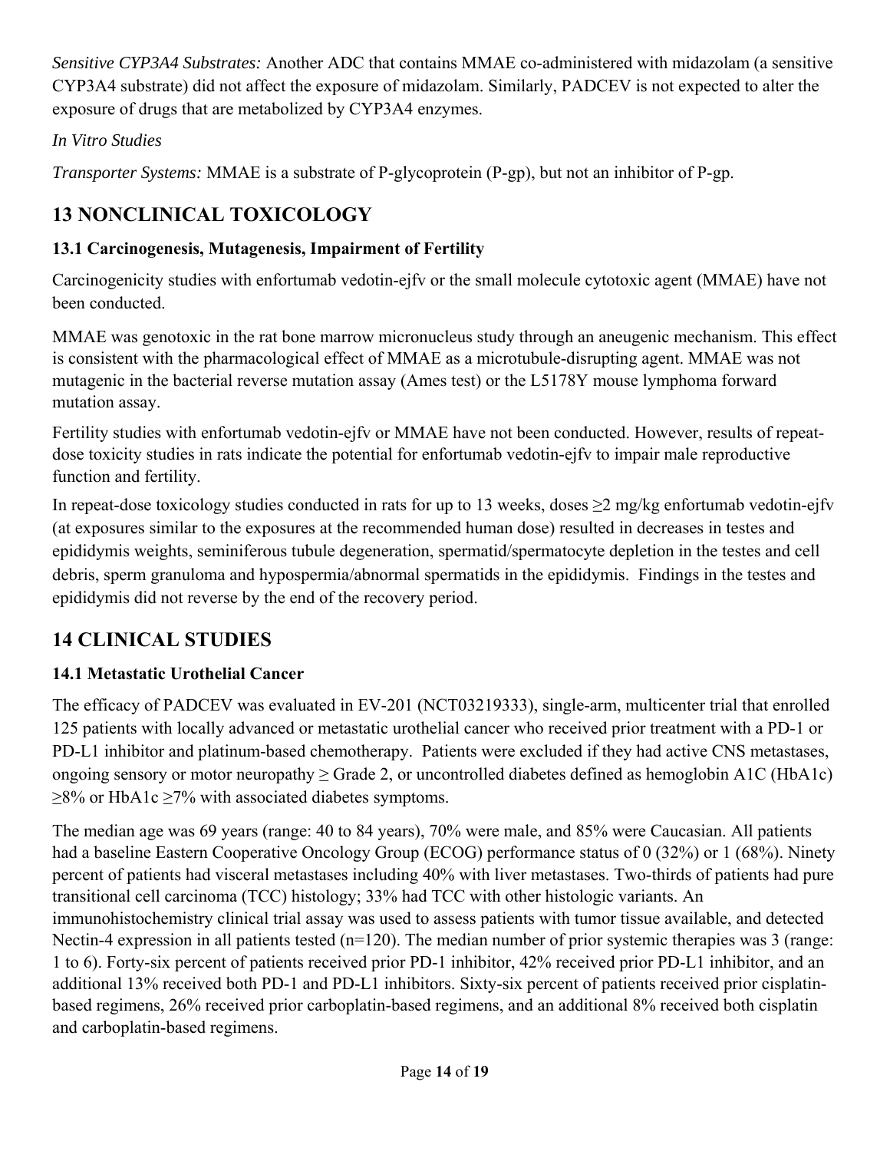*Sensitive CYP3A4 Substrates:* Another ADC that contains MMAE co-administered with midazolam (a sensitive CYP3A4 substrate) did not affect the exposure of midazolam. Similarly, PADCEV is not expected to alter the exposure of drugs that are metabolized by CYP3A4 enzymes.

## *In Vitro Studies*

*Transporter Systems:* MMAE is a substrate of P-glycoprotein (P-gp), but not an inhibitor of P-gp.

# **13 NONCLINICAL TOXICOLOGY**

## **13.1 Carcinogenesis, Mutagenesis, Impairment of Fertility**

Carcinogenicity studies with enfortumab vedotin-ejfv or the small molecule cytotoxic agent (MMAE) have not been conducted.

MMAE was genotoxic in the rat bone marrow micronucleus study through an aneugenic mechanism. This effect is consistent with the pharmacological effect of MMAE as a microtubule-disrupting agent. MMAE was not mutagenic in the bacterial reverse mutation assay (Ames test) or the L5178Y mouse lymphoma forward mutation assay.

Fertility studies with enfortumab vedotin-ejfv or MMAE have not been conducted. However, results of repeatdose toxicity studies in rats indicate the potential for enfortumab vedotin-ejfv to impair male reproductive function and fertility.

In repeat-dose toxicology studies conducted in rats for up to 13 weeks, doses ≥2 mg/kg enfortumab vedotin-ejfv (at exposures similar to the exposures at the recommended human dose) resulted in decreases in testes and epididymis weights, seminiferous tubule degeneration, spermatid/spermatocyte depletion in the testes and cell debris, sperm granuloma and hypospermia/abnormal spermatids in the epididymis. Findings in the testes and epididymis did not reverse by the end of the recovery period.

# **14 CLINICAL STUDIES**

# **14.1 Metastatic Urothelial Cancer**

The efficacy of PADCEV was evaluated in EV-201 (NCT03219333), single-arm, multicenter trial that enrolled 125 patients with locally advanced or metastatic urothelial cancer who received prior treatment with a PD-1 or PD-L1 inhibitor and platinum-based chemotherapy. Patients were excluded if they had active CNS metastases, ongoing sensory or motor neuropathy  $\geq$  Grade 2, or uncontrolled diabetes defined as hemoglobin A1C (HbA1c)  $\geq$ 8% or HbA1c  $\geq$ 7% with associated diabetes symptoms.

The median age was 69 years (range: 40 to 84 years), 70% were male, and 85% were Caucasian. All patients had a baseline Eastern Cooperative Oncology Group (ECOG) performance status of 0 (32%) or 1 (68%). Ninety percent of patients had visceral metastases including 40% with liver metastases. Two-thirds of patients had pure transitional cell carcinoma (TCC) histology; 33% had TCC with other histologic variants. An immunohistochemistry clinical trial assay was used to assess patients with tumor tissue available, and detected Nectin-4 expression in all patients tested (n=120). The median number of prior systemic therapies was 3 (range: 1 to 6). Forty-six percent of patients received prior PD-1 inhibitor, 42% received prior PD-L1 inhibitor, and an additional 13% received both PD-1 and PD-L1 inhibitors. Sixty-six percent of patients received prior cisplatinbased regimens, 26% received prior carboplatin-based regimens, and an additional 8% received both cisplatin and carboplatin-based regimens.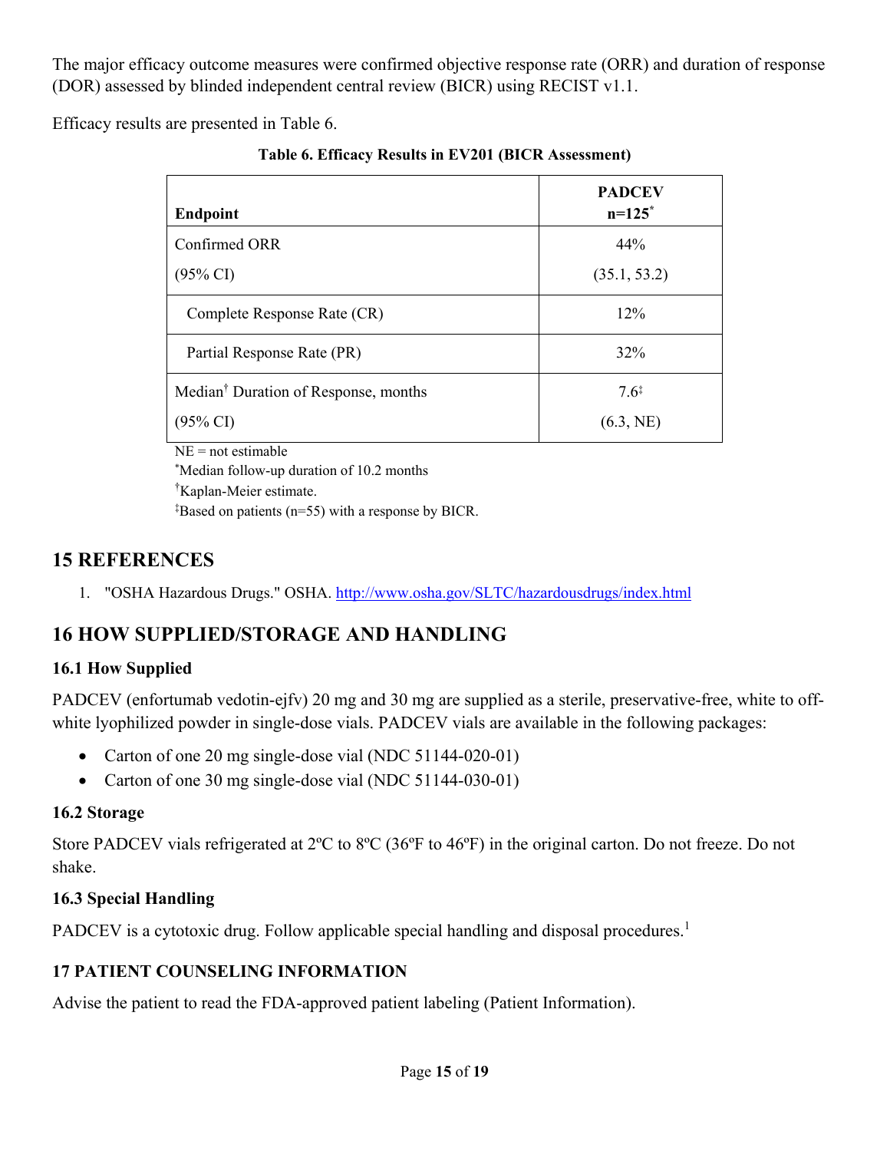The major efficacy outcome measures were confirmed objective response rate (ORR) and duration of response (DOR) assessed by blinded independent central review (BICR) using RECIST v1.1.

Efficacy results are presented in Table 6.

| <b>Endpoint</b>                                                                                     | <b>PADCEV</b><br>$n=125$ * |
|-----------------------------------------------------------------------------------------------------|----------------------------|
| Confirmed ORR                                                                                       | 44%                        |
| $(95\% \text{ CI})$                                                                                 | (35.1, 53.2)               |
| Complete Response Rate (CR)                                                                         | 12%                        |
| Partial Response Rate (PR)                                                                          | 32%                        |
| Median <sup>†</sup> Duration of Response, months                                                    | $7.6^{\ddagger}$           |
| $(95\% \text{ CI})$                                                                                 | (6.3, NE)                  |
| $NE = not$ estimable<br>*** $\cdots$ $\cdots$ $\cdots$ $\cdots$ $\cdots$ $\cdots$ $\cdots$ $\cdots$ |                            |

**Table 6. Efficacy Results in EV201 (BICR Assessment)** 

\* Median follow-up duration of 10.2 months

† Kaplan-Meier estimate.

‡ Based on patients (n=55) with a response by BICR.

## **15 REFERENCES**

1. "OSHA Hazardous Drugs." OSHA. http://www.osha.gov/SLTC/hazardousdrugs/index.html

# **16 HOW SUPPLIED/STORAGE AND HANDLING**

### **16.1 How Supplied**

PADCEV (enfortumab vedotin-ejfv) 20 mg and 30 mg are supplied as a sterile, preservative-free, white to offwhite lyophilized powder in single-dose vials. PADCEV vials are available in the following packages:

- Carton of one 20 mg single-dose vial (NDC 51144-020-01)
- Carton of one 30 mg single-dose vial (NDC 51144-030-01)

### **16.2 Storage**

Store PADCEV vials refrigerated at 2ºC to 8ºC (36ºF to 46ºF) in the original carton. Do not freeze. Do not shake.

### **16.3 Special Handling**

PADCEV is a cytotoxic drug. Follow applicable special handling and disposal procedures.<sup>1</sup>

### **17 PATIENT COUNSELING INFORMATION**

Advise the patient to read the FDA-approved patient labeling (Patient Information).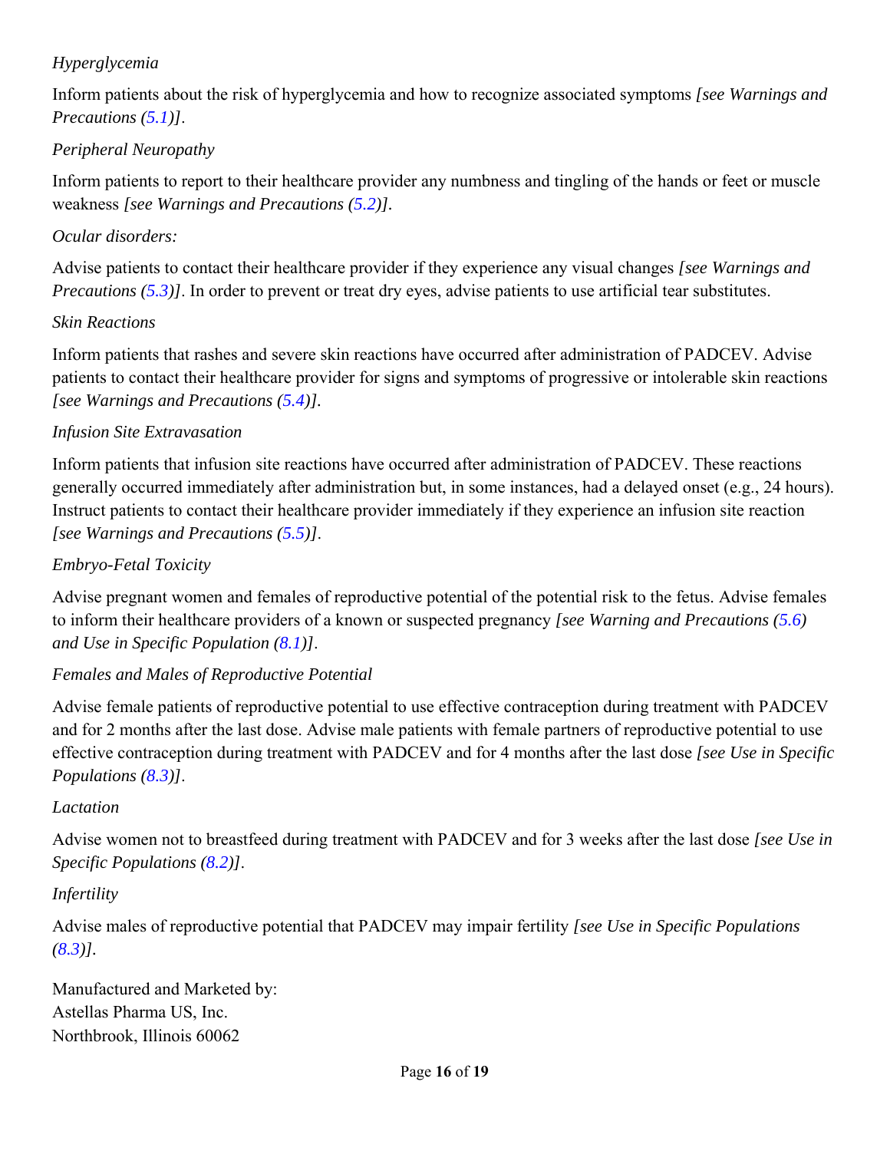### *Hyperglycemia*

Inform patients about the risk of hyperglycemia and how to recognize associated symptoms *[see Warnings and Precautions (5.1)]*.

### *Peripheral Neuropathy*

Inform patients to report to their healthcare provider any numbness and tingling of the hands or feet or muscle weakness *[see Warnings and Precautions (5.2)].*

### *Ocular disorders:*

Advise patients to contact their healthcare provider if they experience any visual changes *[see Warnings and Precautions (5.3)]*. In order to prevent or treat dry eyes, advise patients to use artificial tear substitutes.

### *Skin Reactions*

Inform patients that rashes and severe skin reactions have occurred after administration of PADCEV. Advise patients to contact their healthcare provider for signs and symptoms of progressive or intolerable skin reactions *[see Warnings and Precautions (5.4)].* 

### *Infusion Site Extravasation*

Inform patients that infusion site reactions have occurred after administration of PADCEV. These reactions generally occurred immediately after administration but, in some instances, had a delayed onset (e.g., 24 hours). Instruct patients to contact their healthcare provider immediately if they experience an infusion site reaction *[see Warnings and Precautions (5.5)]*.

### *Embryo-Fetal Toxicity*

Advise pregnant women and females of reproductive potential of the potential risk to the fetus. Advise females to inform their healthcare providers of a known or suspected pregnancy *[see Warning and Precautions (5.6) and Use in Specific Population (8.1)]*.

### *Females and Males of Reproductive Potential*

Advise female patients of reproductive potential to use effective contraception during treatment with PADCEV and for 2 months after the last dose. Advise male patients with female partners of reproductive potential to use effective contraception during treatment with PADCEV and for 4 months after the last dose *[see Use in Specific Populations (8.3)]*.

### *Lactation*

Advise women not to breastfeed during treatment with PADCEV and for 3 weeks after the last dose *[see Use in Specific Populations (8.2)]*.

### *Infertility*

Advise males of reproductive potential that PADCEV may impair fertility *[see Use in Specific Populations (8.3)].* 

Manufactured and Marketed by: Astellas Pharma US, Inc. Northbrook, Illinois 60062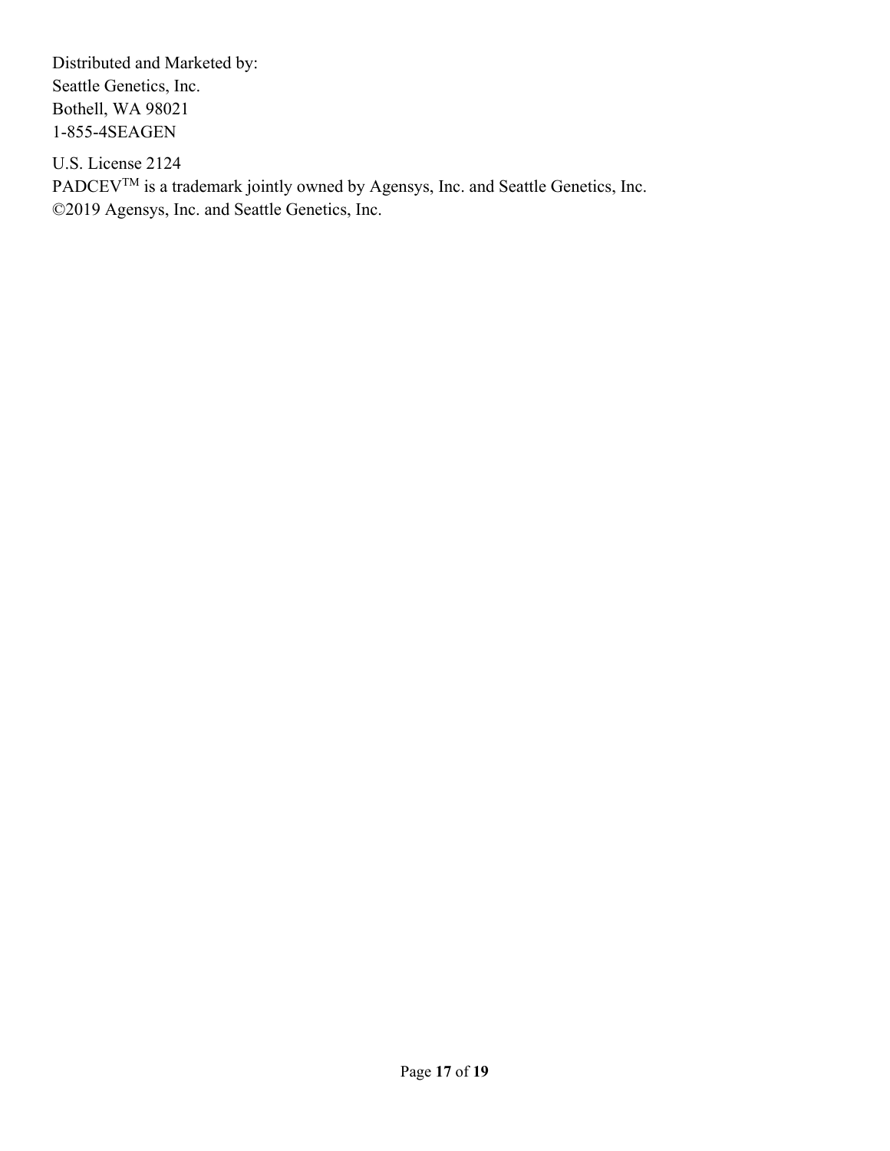Distributed and Marketed by: Seattle Genetics, Inc. Bothell, WA 98021 1-855-4SEAGEN

U.S. License 2124 PADCEV<sup>TM</sup> is a trademark jointly owned by Agensys, Inc. and Seattle Genetics, Inc. ©2019 Agensys, Inc. and Seattle Genetics, Inc.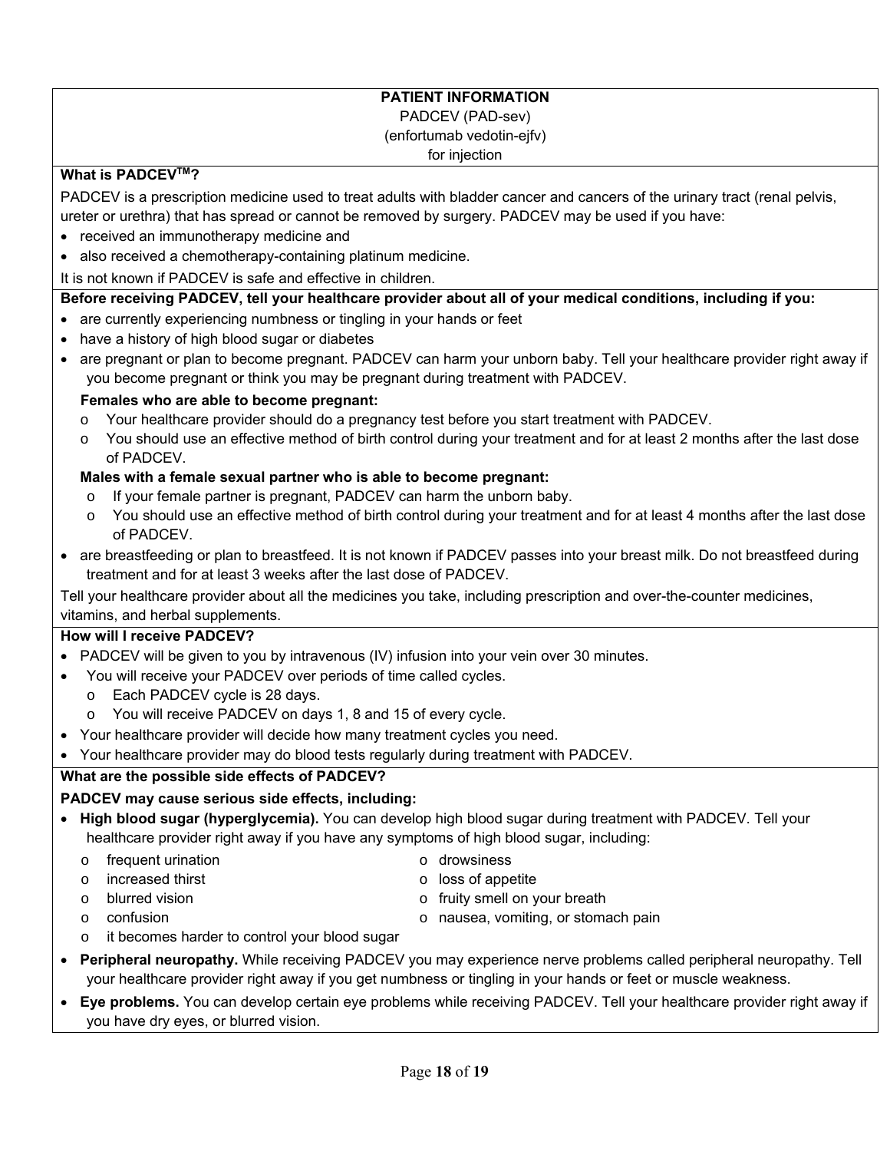### **PATIENT INFORMATION**

#### PADCEV (PAD-sev)

(enfortumab vedotin-ejfv)

for injection

### **What is PADCEVTM?**

PADCEV is a prescription medicine used to treat adults with bladder cancer and cancers of the urinary tract (renal pelvis, ureter or urethra) that has spread or cannot be removed by surgery. PADCEV may be used if you have:

- received an immunotherapy medicine and
- also received a chemotherapy-containing platinum medicine.

It is not known if PADCEV is safe and effective in children.

### **Before receiving PADCEV, tell your healthcare provider about all of your medical conditions, including if you:**

- are currently experiencing numbness or tingling in your hands or feet
- have a history of high blood sugar or diabetes
- are pregnant or plan to become pregnant. PADCEV can harm your unborn baby. Tell your healthcare provider right away if you become pregnant or think you may be pregnant during treatment with PADCEV.

### **Females who are able to become pregnant:**

- o Your healthcare provider should do a pregnancy test before you start treatment with PADCEV.
- o You should use an effective method of birth control during your treatment and for at least 2 months after the last dose of PADCEV.

### **Males with a female sexual partner who is able to become pregnant:**

- o If your female partner is pregnant, PADCEV can harm the unborn baby.
- o You should use an effective method of birth control during your treatment and for at least 4 months after the last dose of PADCEV.
- are breastfeeding or plan to breastfeed. It is not known if PADCEV passes into your breast milk. Do not breastfeed during treatment and for at least 3 weeks after the last dose of PADCEV.

Tell your healthcare provider about all the medicines you take, including prescription and over-the-counter medicines, vitamins, and herbal supplements.

#### **How will I receive PADCEV?**

- PADCEV will be given to you by intravenous (IV) infusion into your vein over 30 minutes.
- You will receive your PADCEV over periods of time called cycles.
	- o Each PADCEV cycle is 28 days.
	- o You will receive PADCEV on days 1, 8 and 15 of every cycle.
- Your healthcare provider will decide how many treatment cycles you need.
- Your healthcare provider may do blood tests regularly during treatment with PADCEV.

### **What are the possible side effects of PADCEV?**

### **PADCEV may cause serious side effects, including:**

- **High blood sugar (hyperglycemia).** You can develop high blood sugar during treatment with PADCEV. Tell your healthcare provider right away if you have any symptoms of high blood sugar, including:
	- o frequent urination

o drowsiness

o increased thirst o blurred vision

- o loss of appetite
- o fruity smell on your breath

o confusion

- o nausea, vomiting, or stomach pain
- o it becomes harder to control your blood sugar
- **Peripheral neuropathy.** While receiving PADCEV you may experience nerve problems called peripheral neuropathy. Tell your healthcare provider right away if you get numbness or tingling in your hands or feet or muscle weakness.
- **Eye problems.** You can develop certain eye problems while receiving PADCEV. Tell your healthcare provider right away if you have dry eyes, or blurred vision.